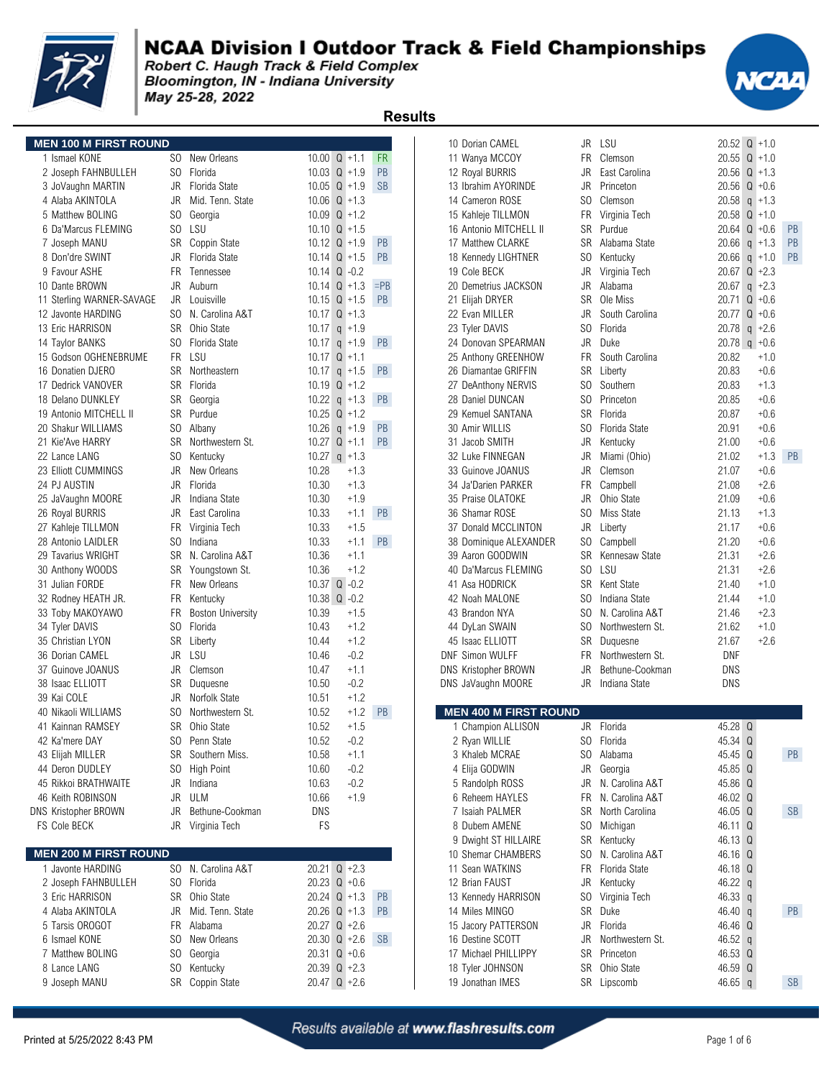

#### **NCAA Division I Outdoor Track & Field Championships**

Robert C. Haugh Track & Field Complex Bloomington, IN - Indiana University May 25-28, 2022

|                                          |                 |                                |                |                  | <b>Results</b> |                                       |                |                          |                    |                         |           |
|------------------------------------------|-----------------|--------------------------------|----------------|------------------|----------------|---------------------------------------|----------------|--------------------------|--------------------|-------------------------|-----------|
| <b>MEN 100 M FIRST ROUND</b>             |                 |                                |                |                  |                | 10 Dorian CAMEL                       |                | JR LSU                   |                    | $20.52$ Q +1.0          |           |
| 1 Ismael KONE                            | SO.             | New Orleans                    | 10.00          | $Q + 1.1$        | <b>FR</b>      | 11 Wanya MCCOY                        | FR             | Clemson                  |                    | $20.55$ Q $+1.0$        |           |
| 2 Joseph FAHNBULLEH                      | SO.             | Florida                        |                | $10.03$ Q $+1.9$ | PB             | 12 Royal BURRIS                       | JR             | East Carolina            |                    | $20.56$ Q +1.3          |           |
| 3 JoVaughn MARTIN                        |                 | JR Florida State               | 10.05          | $Q + 1.9$        | <b>SB</b>      | 13 Ibrahim AYORINDE                   | JR             | Princeton                |                    | $20.56$ Q +0.6          |           |
| 4 Alaba AKINTOLA                         | JR              | Mid. Tenn. State               |                | $10.06$ Q $+1.3$ |                | 14 Cameron ROSE                       | SO.            | Clemson                  | 20.58              | $q + 1.3$               |           |
| 5 Matthew BOLING                         | SO.             | Georgia                        | 10.09          | $Q + 1.2$        |                | 15 Kahleje TILLMON                    | FR             | Virginia Tech            |                    | $20.58$ Q +1.0          |           |
| 6 Da'Marcus FLEMING                      |                 | SO LSU                         |                | 10.10 $Q + 1.5$  |                | 16 Antonio MITCHELL II                | SR             | Purdue                   |                    | $20.64$ Q +0.6          | PB        |
| 7 Joseph MANU                            | SR              | Coppin State                   |                | 10.12 $Q + 1.9$  | PB             | 17 Matthew CLARKE                     |                | SR Alabama State         |                    | 20.66 $q$ +1.3          | PB        |
| 8 Don'dre SWINT                          | JR              | Florida State                  |                | $10.14$ Q $+1.5$ | PB             | 18 Kennedy LIGHTNER                   | SO.            | Kentucky                 |                    | $20.66$ q $+1.0$        | PB        |
| 9 Favour ASHE                            | <b>FR</b>       | Tennessee                      |                | $10.14$ Q $-0.2$ |                | 19 Cole BECK                          | JR             | Virginia Tech            |                    | $20.67$ Q +2.3          |           |
| 10 Dante BROWN                           | JR              | Auburn                         |                | $10.14$ Q $+1.3$ | $=$ PB         | 20 Demetrius JACKSON                  | JR             | Alabama                  |                    | $20.67$ g +2.3          |           |
| 11 Sterling WARNER-SAVAGE                |                 | JR Louisville                  |                | 10.15 $Q + 1.5$  | PB             | 21 Elijah DRYER                       |                | SR Ole Miss              |                    | $20.71 \text{ Q} + 0.6$ |           |
| 12 Javonte HARDING                       | SO.             | N. Carolina A&T                |                | 10.17 $Q + 1.3$  |                | 22 Evan MILLER                        | JR             | South Carolina           |                    | 20.77 $Q + 0.6$         |           |
| 13 Eric HARRISON                         | <b>SR</b>       | Ohio State                     | 10.17          | $q + 1.9$        |                | 23 Tyler DAVIS                        | S <sub>0</sub> | Florida                  | 20.78              | $q + 2.6$               |           |
| 14 Taylor BANKS                          |                 | SO Florida State               |                | 10.17 $q$ +1.9   | <b>PB</b>      | 24 Donovan SPEARMAN                   | JR             | Duke                     |                    | 20.78 $q$ +0.6          |           |
| 15 Godson OGHENEBRUME                    |                 | FR LSU                         |                | $10.17$ Q $+1.1$ |                | 25 Anthony GREENHOW                   | <b>FR</b>      | South Carolina           | 20.82              | $+1.0$                  |           |
| 16 Donatien DJERO                        | <b>SR</b>       | Northeastern                   | 10.17          | $q + 1.5$        | <b>PB</b>      | 26 Diamantae GRIFFIN                  | SR             | Liberty                  | 20.83              | $+0.6$                  |           |
| 17 Dedrick VANOVER                       | <b>SR</b>       | Florida                        |                | 10.19 $Q + 1.2$  |                | 27 DeAnthony NERVIS                   | SO.            | Southern                 | 20.83              | $+1.3$                  |           |
| 18 Delano DUNKLEY                        | SR              | Georgia                        | 10.22          | $q + 1.3$        | <b>PB</b>      | 28 Daniel DUNCAN                      | SO.            | Princeton                | 20.85              | $+0.6$                  |           |
| 19 Antonio MITCHELL II                   | SR              | Purdue                         | 10.25          | $Q + 1.2$        |                | 29 Kemuel SANTANA                     | SR             | Florida                  | 20.87              | $+0.6$                  |           |
| 20 Shakur WILLIAMS                       | SO.             | Albany                         | 10.26          | $q + 1.9$        | <b>PB</b>      | 30 Amir WILLIS                        | SO.            | Florida State            | 20.91              | $+0.6$                  |           |
| 21 Kie'Ave HARRY                         | <b>SR</b>       | Northwestern St.               |                | $10.27$ Q +1.1   | <b>PB</b>      | 31 Jacob SMITH                        | JR             | Kentucky                 | 21.00              | $+0.6$                  |           |
| 22 Lance LANG                            | SO.             | Kentucky                       |                | 10.27 $q$ +1.3   |                | 32 Luke FINNEGAN                      | JR             | Miami (Ohio)             | 21.02              | $+1.3$                  | PB        |
| 23 Elliott CUMMINGS                      | JR              | New Orleans                    | 10.28          | $+1.3$           |                | 33 Guinove JOANUS                     | JR             | Clemson                  | 21.07              | $+0.6$                  |           |
| 24 PJ AUSTIN                             | JR              | Florida                        | 10.30          | $+1.3$           |                | 34 Ja'Darien PARKER                   | FR             | Campbell                 | 21.08              | $+2.6$                  |           |
| 25 JaVaughn MOORE                        | JR              | Indiana State<br>East Carolina | 10.30          | $+1.9$           | <b>PB</b>      | 35 Praise OLATOKE<br>36 Shamar ROSE   | JR<br>SO.      | Ohio State<br>Miss State | 21.09              | $+0.6$<br>$+1.3$        |           |
| 26 Royal BURRIS                          | JR<br><b>FR</b> | Virginia Tech                  | 10.33<br>10.33 | $+1.1$<br>$+1.5$ |                | 37 Donald MCCLINTON                   | JR             | Liberty                  | 21.13<br>21.17     | $+0.6$                  |           |
| 27 Kahleje TILLMON<br>28 Antonio LAIDLER | SO.             | Indiana                        | 10.33          | $+1.1$           | <b>PB</b>      | 38 Dominique ALEXANDER                | SO.            | Campbell                 | 21.20              | $+0.6$                  |           |
| 29 Tavarius WRIGHT                       |                 | SR N. Carolina A&T             | 10.36          | $+1.1$           |                | 39 Aaron GOODWIN                      | <b>SR</b>      | Kennesaw State           | 21.31              | $+2.6$                  |           |
| 30 Anthony WOODS                         | SR              | Youngstown St.                 | 10.36          | $+1.2$           |                | 40 Da'Marcus FLEMING                  | SO.            | LSU                      | 21.31              | $+2.6$                  |           |
| 31 Julian FORDE                          | FR              | New Orleans                    |                | $10.37$ Q $-0.2$ |                | 41 Asa HODRICK                        | <b>SR</b>      | Kent State               | 21.40              | $+1.0$                  |           |
| 32 Rodney HEATH JR.                      | FR              | Kentucky                       |                | 10.38 $Q -0.2$   |                | 42 Noah MALONE                        | S <sub>0</sub> | Indiana State            | 21.44              | $+1.0$                  |           |
| 33 Toby MAKOYAWO                         | <b>FR</b>       | <b>Boston University</b>       | 10.39          | $+1.5$           |                | 43 Brandon NYA                        | SO.            | N. Carolina A&T          | 21.46              | $+2.3$                  |           |
| 34 Tyler DAVIS                           | SO.             | Florida                        | 10.43          | $+1.2$           |                | 44 DyLan SWAIN                        | SO.            | Northwestern St.         | 21.62              | $+1.0$                  |           |
| 35 Christian LYON                        | <b>SR</b>       | Liberty                        | 10.44          | $+1.2$           |                | 45 Isaac ELLIOTT                      | SR             | Duquesne                 | 21.67              | $+2.6$                  |           |
| 36 Dorian CAMEL                          | JR              | LSU                            | 10.46          | $-0.2$           |                | DNF Simon WULFF                       | <b>FR</b>      | Northwestern St.         | <b>DNF</b>         |                         |           |
| 37 Guinove JOANUS                        | JR              | Clemson                        | 10.47          | $+1.1$           |                | <b>DNS Kristopher BROWN</b>           | JR             | Bethune-Cookman          | <b>DNS</b>         |                         |           |
| 38 Isaac ELLIOTT                         | SR              | Duquesne                       | 10.50          | $-0.2$           |                | DNS JaVaughn MOORE                    | <b>JR</b>      | Indiana State            | DNS                |                         |           |
| 39 Kai COLE                              | JR              | Norfolk State                  | 10.51          | $+1.2$           |                |                                       |                |                          |                    |                         |           |
| 40 Nikaoli WILLIAMS                      | SO              | Northwestern St.               | 10.52          | $+1.2$           | PB             | <b>MEN 400 M FIRST ROUND</b>          |                |                          |                    |                         |           |
| 41 Kainnan RAMSEY                        | SR              | Ohio State                     | 10.52          | $+1.5$           |                | 1 Champion ALLISON                    | JR             | Florida                  | 45.28 Q            |                         |           |
| 42 Ka'mere DAY                           | SO.             | Penn State                     | 10.52          | $-0.2$           |                | 2 Ryan WILLIE                         |                | SO Florida               | 45.34 Q            |                         |           |
| 43 Elijah MILLER                         |                 | SR Southern Miss.              | 10.58          | $+1.1$           |                | 3 Khaleb MCRAE                        |                | SO Alabama               | 45.45 Q            |                         | PB        |
| 44 Deron DUDLEY                          | SO.             | <b>High Point</b>              | 10.60          | $-0.2$           |                | 4 Elija GODWIN                        | JR             | Georgia                  | 45.85 Q            |                         |           |
| 45 Rikkoi BRATHWAITE                     |                 | JR Indiana                     | 10.63          | $-0.2$           |                | 5 Randolph ROSS                       |                | JR N. Carolina A&T       | 45.86 Q            |                         |           |
| 46 Keith ROBINSON                        | JR              | ULM                            | 10.66          | $+1.9$           |                | 6 Reheem HAYLES                       |                | FR N. Carolina A&T       | 46.02 Q            |                         |           |
| <b>DNS Kristopher BROWN</b>              | JR              | Bethune-Cookman                | <b>DNS</b>     |                  |                | 7 Isaiah PALMER                       | SR             | North Carolina           | 46.05 Q            |                         | <b>SB</b> |
| FS Cole BECK                             |                 | JR Virginia Tech               | FS             |                  |                | 8 Dubem AMENE<br>9 Dwight ST HILLAIRE | SO.            | Michigan<br>SR Kentucky  | 46.11 Q<br>46.13 Q |                         |           |
| <b>MEN 200 M FIRST ROUND</b>             |                 |                                |                |                  |                | 10 Shemar CHAMBERS                    |                | SO N. Carolina A&T       | 46.16 <sup>Q</sup> |                         |           |
| 1 Javonte HARDING                        |                 | SO N. Carolina A&T             |                | $20.21$ Q +2.3   |                | 11 Sean WATKINS                       | FR             | Florida State            | 46.18 Q            |                         |           |
| 2 Joseph FAHNBULLEH                      |                 | SO Florida                     |                | 20.23 $Q + 0.6$  |                | 12 Brian FAUST                        | JR             | Kentucky                 | 46.22 $q$          |                         |           |
| 3 Eric HARRISON                          |                 | SR Ohio State                  |                | $20.24$ Q +1.3   | <b>PB</b>      | 13 Kennedy HARRISON                   |                | SO Virginia Tech         | 46.33 $q$          |                         |           |
| 4 Alaba AKINTOLA                         | JR              | Mid. Tenn. State               |                | $20.26$ Q +1.3   | <b>PB</b>      | 14 Miles MINGO                        |                | SR Duke                  | 46.40 $q$          |                         | PB        |
| 5 Tarsis OROGOT                          | FR              | Alabama                        |                | $20.27$ Q +2.6   |                | 15 Jacory PATTERSON                   |                | JR Florida               | 46.46 Q            |                         |           |
| 6 Ismael KONE                            | SO.             | New Orleans                    |                | 20.30 $Q + 2.6$  | <b>SB</b>      | 16 Destine SCOTT                      | JR             | Northwestern St.         | 46.52 $q$          |                         |           |
| 7 Matthew BOLING                         | SO.             | Georgia                        |                | $20.31$ Q +0.6   |                | 17 Michael PHILLIPPY                  |                | SR Princeton             | 46.53 Q            |                         |           |
| 8 Lance LANG                             | SO.             | Kentucky                       |                | $20.39$ Q +2.3   |                | 18 Tyler JOHNSON                      |                | SR Ohio State            | 46.59 Q            |                         |           |
| 9 Joseph MANU                            |                 | SR Coppin State                |                | 20.47 $Q + 2.6$  |                | 19 Jonathan IMES                      |                | SR Lipscomb              | 46.65 $q$          |                         | <b>SB</b> |
|                                          |                 |                                |                |                  |                |                                       |                |                          |                    |                         |           |



| 11 Wanya MCCOY                           | FR        | Clemson          | 20.55          | $Q + 1.0$                |           |
|------------------------------------------|-----------|------------------|----------------|--------------------------|-----------|
| 12 Royal BURRIS                          | JR        | East Carolina    | 20.56          | $Q + 1.3$                |           |
| 13 Ibrahim AYORINDE                      | JR        | Princeton        | 20.56          | $Q + 0.6$                |           |
| 14 Cameron ROSE                          | SO.       | Clemson          | 20.58          | $q + 1.3$                |           |
| 15 Kahleje TILLMON                       | FR        | Virginia Tech    | 20.58          | $Q + 1.0$                |           |
| 16 Antonio MITCHELL II                   | SR        | Purdue           | 20.64          | $Q + 0.6$                | <b>PB</b> |
| 17 Matthew CLARKE                        | <b>SR</b> | Alabama State    | 20.66          | $q + 1.3$                | PB        |
| 18 Kennedy LIGHTNER                      | SO.       | Kentucky         | 20.66          | $q + 1.0$                | <b>PB</b> |
| 19 Cole BECK                             | JR        | Virginia Tech    | 20.67          | $Q + 2.3$                |           |
| 20 Demetrius JACKSON                     | JR        | Alabama          | 20.67          | $q + 2.3$                |           |
| 21 Elijah DRYER                          | SR        | Ole Miss         | 20.71          | $Q + 0.6$                |           |
| 22 Evan MILLER                           | JR        | South Carolina   | 20.77          | $Q + 0.6$                |           |
| 23 Tyler DAVIS                           | SO.       | Florida          | 20.78          | $+2.6$<br>$\mathfrak{q}$ |           |
| 24 Donovan SPEARMAN                      | JR        | Duke             |                | $20.78$ q +0.6           |           |
| 25 Anthony GREENHOW                      | FR.       | South Carolina   | 20.82          | $+1.0$                   |           |
| 26 Diamantae GRIFFIN                     | SR        | Liberty          | 20.83          | $+0.6$                   |           |
| 27 DeAnthony NERVIS                      | SO.       | Southern         | 20.83          | $+1.3$                   |           |
| 28 Daniel DUNCAN                         | SO.       | Princeton        | 20.85          | $+0.6$                   |           |
| 29 Kemuel SANTANA                        | SR        | Florida          | 20.87          | $+0.6$                   |           |
| 30 Amir WILLIS                           | SO.       | Florida State    | 20.91          | $+0.6$                   |           |
| 31 Jacob SMITH                           | JR        | Kentucky         | 21.00          | $+0.6$                   |           |
| 32 Luke FINNEGAN                         | JR        |                  |                | $+1.3$                   | PB        |
|                                          |           | Miami (Ohio)     | 21.02          |                          |           |
| 33 Guinove JOANUS                        | JR        | Clemson          | 21.07          | $+0.6$                   |           |
| 34 Ja'Darien PARKER                      | FR.       | Campbell         | 21.08          | $+2.6$                   |           |
| 35 Praise OLATOKE                        | JR        | Ohio State       | 21.09          | $+0.6$                   |           |
| 36 Shamar ROSE                           | SO        | Miss State       | 21.13          | $+1.3$                   |           |
| 37 Donald MCCLINTON                      | JR        | Liberty          | 21.17          | +0.6                     |           |
| 38 Dominique ALEXANDER                   | SO.       | Campbell         | 21.20          | +0.6                     |           |
| 39 Aaron GOODWIN                         | SR        | Kennesaw State   | 21.31          | +2.6                     |           |
| 40 Da'Marcus FLEMING                     | SO.       | LSU              | 21.31          | $+2.6$                   |           |
| 41 Asa HODRICK                           | SR        | Kent State       | 21.40          | +1.0                     |           |
| 42 Noah MALONE                           | SO.       | Indiana State    | 21.44          | +1.0                     |           |
| 43 Brandon NYA                           | SO.       | N. Carolina A&T  | 21.46          | $+2.3$                   |           |
| 44 DyLan SWAIN                           | SO.       | Northwestern St. | 21.62          | $+1.0$                   |           |
| 45 Isaac ELLIOTT                         | SR        | Duquesne         | 21.67          | $+2.6$                   |           |
| DNF Simon WULFF                          | <b>FR</b> | Northwestern St. | DNF            |                          |           |
| <b>NS Kristopher BROWN</b>               | JR.       | Bethune-Cookman  | DNS            |                          |           |
| <b>NS JaVaughn MOORE</b>                 | JR        | Indiana State    | DNS            |                          |           |
| <b>MEN 400 M FIRST ROUND</b>             |           |                  |                |                          |           |
| 1 Champion ALLISON                       | JR        | Florida          | 45.28          | Q                        |           |
| 2 Ryan WILLIE                            | SO.       | Florida          | 45.34          | Q                        |           |
| 3 Khaleb MCRAE                           | SO.       | Alabama          | 45.45          | Q                        | <b>PB</b> |
| 4 Elija GODWIN                           | JR        | Georgia          | 45.85          | Q                        |           |
| 5 Randolph ROSS                          | JR        | N. Carolina A&T  | 45.86          | Q                        |           |
| 6 Reheem HAYLES                          | FR        | N. Carolina A&T  | 46.02          | Q                        |           |
| 7 Isaiah PALMER                          | SR        | North Carolina   | 46.05          | Q                        | <b>SB</b> |
| 8 Dubem AMENE                            | SO.       | Michigan         | 46.11          | Q                        |           |
| 9 Dwight ST HILLAIRE                     | SR        | Kentucky         | 46.13          | Q                        |           |
| 10 Shemar CHAMBERS                       | SO.       | N. Carolina A&T  | 46.16          | Q                        |           |
| 11 Sean WATKINS                          | FR        | Florida State    | 46.18          | Q                        |           |
| 12 Brian FAUST                           | JR        | Kentucky         | 46.22          |                          |           |
| 13 Kennedy HARRISON                      | SO.       | Virginia Tech    | 46.33          | q                        |           |
| 14 Miles MINGO                           | SR        | Duke             | 46.40          | q                        | PB        |
|                                          | JR        | Florida          | 46.46          | q                        |           |
| 15 Jacory PATTERSON                      | JR        | Northwestern St. |                | Q                        |           |
| 16 Destine SCOTT<br>17 Michael PHILLIPPY | SR        | Princeton        | 46.52<br>46.53 | q<br>Q                   |           |
| 18 Tyler JOHNSON                         | SR        | Ohio State       | 46.59          | Q                        |           |
| 19 Jonathan IMES                         | SR        | Lipscomb         | 46.65          |                          | <b>SB</b> |
|                                          |           |                  |                | $\mathsf{q}$             |           |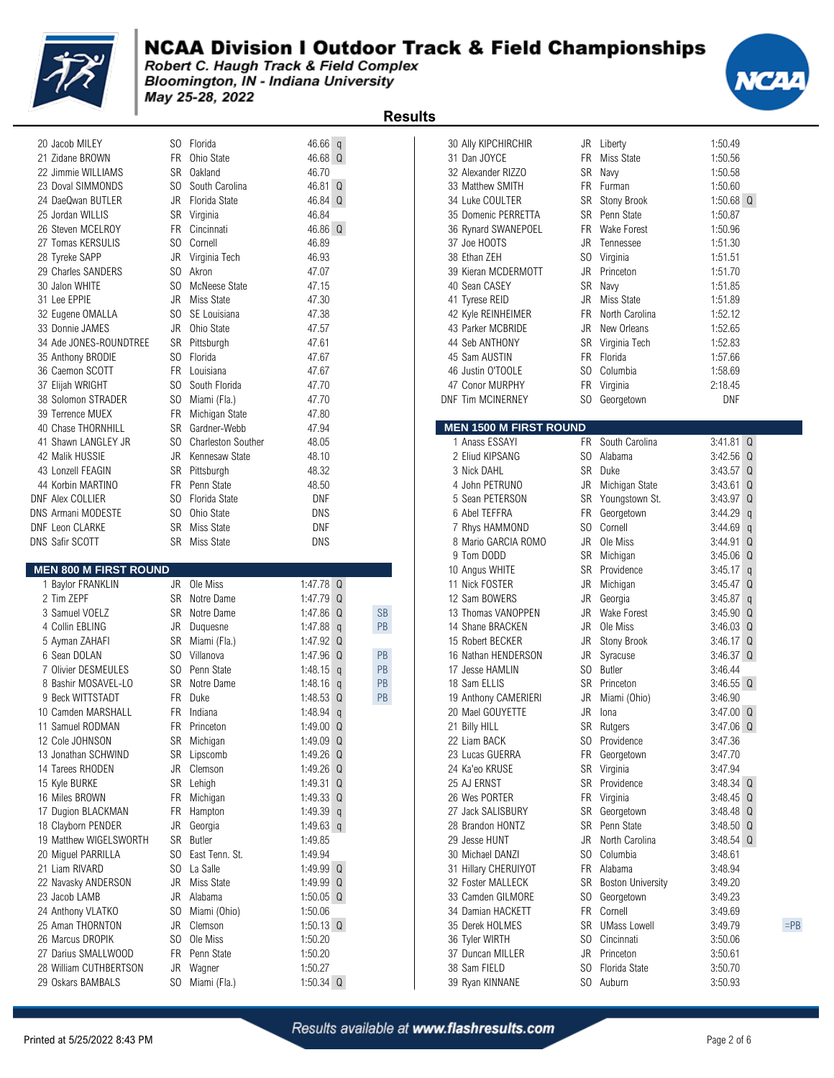

Bloomington, IN - Indiana University May 25-28, 2022

| 20 Jacob MILEY               | SO.       | Florida                   | $46.66$ q   |           | 30 Ally KIPCHIRCHIR           |           | JR Liberty               | 1:50.49                      |
|------------------------------|-----------|---------------------------|-------------|-----------|-------------------------------|-----------|--------------------------|------------------------------|
| 21 Zidane BROWN              | FR.       | Ohio State                | 46.68 Q     |           | 31 Dan JOYCE                  |           | FR Miss State            | 1:50.56                      |
| 22 Jimmie WILLIAMS           | <b>SR</b> | Oakland                   | 46.70       |           | 32 Alexander RIZZO            | SR        | Navy                     | 1:50.58                      |
| 23 Doval SIMMONDS            | SO.       | South Carolina            | 46.81 Q     |           | 33 Matthew SMITH              |           | FR Furman                | 1:50.60                      |
| 24 DaeQwan BUTLER            | JR        | Florida State             | 46.84 Q     |           | 34 Luke COULTER               | SR        | Stony Brook              | 1:50.68 $\degree$            |
| 25 Jordan WILLIS             |           | SR Virginia               | 46.84       |           | 35 Domenic PERRETTA           |           | SR Penn State            | 1:50.87                      |
| 26 Steven MCELROY            | <b>FR</b> | Cincinnati                | 46.86 Q     |           | 36 Rynard SWANEPOEL           | <b>FR</b> | Wake Forest              | 1:50.96                      |
| 27 Tomas KERSULIS            | SO.       | Cornell                   | 46.89       |           | 37 Joe HOOTS                  | JR        | Tennessee                | 1:51.30                      |
| 28 Tyreke SAPP               | JR        | Virginia Tech             | 46.93       |           | 38 Ethan ZEH                  |           | SO Virginia              | 1:51.51                      |
| 29 Charles SANDERS           | SO.       | Akron                     | 47.07       |           | 39 Kieran MCDERMOTT           |           | JR Princeton             | 1:51.70                      |
| 30 Jalon WHITE               | SO.       | McNeese State             | 47.15       |           | 40 Sean CASEY                 | SR        | Navy                     | 1:51.85                      |
| 31 Lee EPPIE                 | JR        | Miss State                | 47.30       |           | 41 Tyrese REID                |           | JR Miss State            | 1:51.89                      |
| 32 Eugene OMALLA             | SO.       | SE Louisiana              | 47.38       |           | 42 Kyle REINHEIMER            | FR.       | North Carolina           | 1:52.12                      |
| 33 Donnie JAMES              | JR        | Ohio State                | 47.57       |           | 43 Parker MCBRIDE             | JR        | New Orleans              | 1:52.65                      |
| 34 Ade JONES-ROUNDTREE       | SR        | Pittsburgh                | 47.61       |           | 44 Seb ANTHONY                |           | SR Virginia Tech         | 1:52.83                      |
| 35 Anthony BRODIE            | SO.       | Florida                   | 47.67       |           | 45 Sam AUSTIN                 |           | FR Florida               | 1:57.66                      |
| 36 Caemon SCOTT              | <b>FR</b> | Louisiana                 | 47.67       |           | 46 Justin O'TOOLE             |           | SO Columbia              | 1:58.69                      |
| 37 Elijah WRIGHT             | SO.       | South Florida             | 47.70       |           | 47 Conor MURPHY               | FR        | Virginia                 | 2:18.45                      |
| 38 Solomon STRADER           | SO.       | Miami (Fla.)              | 47.70       |           | <b>DNF Tim MCINERNEY</b>      |           | SO Georgetown            | <b>DNF</b>                   |
| 39 Terrence MUEX             | FR.       | Michigan State            | 47.80       |           |                               |           |                          |                              |
| 40 Chase THORNHILL           | SR        | Gardner-Webb              | 47.94       |           | <b>MEN 1500 M FIRST ROUND</b> |           |                          |                              |
| 41 Shawn LANGLEY JR          | SO.       | <b>Charleston Souther</b> | 48.05       |           | 1 Anass ESSAYI                |           | FR South Carolina        | $3:41.81$ $Q$                |
| 42 Malik HUSSIE              | JR        | Kennesaw State            | 48.10       |           | 2 Eliud KIPSANG               | SO.       | Alabama                  | $3:42.56$ Q                  |
|                              |           |                           |             |           |                               | <b>SR</b> |                          |                              |
| 43 Lonzell FEAGIN            | SR        | Pittsburgh                | 48.32       |           | 3 Nick DAHL                   |           | Duke                     | $3:43.57$ $Q$                |
| 44 Korbin MARTINO            | FR.       | Penn State                | 48.50       |           | 4 John PETRUNO                | JR        | Michigan State           | 3:43.61 Q                    |
| <b>DNF Alex COLLIER</b>      | SO.       | Florida State             | DNF         |           | 5 Sean PETERSON               |           | SR Youngstown St.        | $3:43.97$ $Q$                |
| <b>DNS Armani MODESTE</b>    | SO.       | Ohio State                | DNS         |           | 6 Abel TEFFRA                 | FR        | Georgetown               | $3:44.29$ q                  |
| <b>DNF Leon CLARKE</b>       | <b>SR</b> | Miss State                | <b>DNF</b>  |           | 7 Rhys HAMMOND                | SO.       | Cornell                  | $3:44.69$ q<br>$3:44.91$ $Q$ |
|                              |           |                           |             |           |                               |           |                          |                              |
| <b>DNS Safir SCOTT</b>       |           | SR Miss State             | DNS         |           | 8 Mario GARCIA ROMO           | JR        | Ole Miss                 |                              |
|                              |           |                           |             |           | 9 Tom DODD                    |           | SR Michigan              | $3:45.06$ $Q$                |
| <b>MEN 800 M FIRST ROUND</b> |           |                           |             |           | 10 Angus WHITE                | SR        | Providence               | $3:45.17$ q                  |
| 1 Baylor FRANKLIN            |           | JR Ole Miss               | 1:47.78 $Q$ |           | 11 Nick FOSTER                | JR        | Michigan                 | $3:45.47$ $Q$                |
| 2 Tim ZEPF                   |           | SR Notre Dame             | 1:47.79 $Q$ |           | 12 Sam BOWERS                 | JR        | Georgia                  | $3:45.87$ q                  |
| 3 Samuel VOELZ               | SR        | Notre Dame                | 1:47.86 Q   | <b>SB</b> | 13 Thomas VANOPPEN            | JR        | <b>Wake Forest</b>       | $3:45.90$ $Q$                |
| 4 Collin EBLING              | JR        | Duquesne                  | 1:47.88 $q$ | <b>PB</b> | 14 Shane BRACKEN              | JR        | Ole Miss                 | $3:46.03$ $Q$                |
| 5 Ayman ZAHAFI               | SR        | Miami (Fla.)              | 1:47.92 Q   |           | 15 Robert BECKER              | JR        | Stony Brook              | $3:46.17$ $Q$                |
| 6 Sean DOLAN                 | SO.       | Villanova                 | 1:47.96 $Q$ | PB        | 16 Nathan HENDERSON           | JR        | Syracuse                 | $3:46.37$ $Q$                |
| 7 Olivier DESMEULES          | SO.       | Penn State                | 1:48.15 $q$ | PB        | 17 Jesse HAMLIN               | SO.       | Butler                   | 3:46.44                      |
| 8 Bashir MOSAVEL-LO          | SR        | Notre Dame                | 1:48.16 $q$ | PB        | 18 Sam ELLIS                  | SR        | Princeton                | $3:46.55$ $Q$                |
| 9 Beck WITTSTADT             | FR.       | Duke                      | 1:48.53 $Q$ | PB        | 19 Anthony CAMERIERI          | JR        | Miami (Ohio)             | 3:46.90                      |
| 10 Camden MARSHALL           | <b>FR</b> | Indiana                   | 1:48.94 $q$ |           | 20 Mael GOUYETTE              | JR        | Iona                     | $3:47.00$ $Q$                |
| 11 Samuel RODMAN             | <b>FR</b> | Princeton                 | 1:49.00 $Q$ |           | 21 Billy HILL                 |           | SR Rutgers               | 3:47.06 Q                    |
| 12 Cole JOHNSON              |           | SR Michigan               | 1:49.09 Q   |           | 22 Liam BACK                  |           | SO Providence            | 3:47.36                      |
| 13 Jonathan SCHWIND          |           | SR Lipscomb               | 1:49.26 $Q$ |           | 23 Lucas GUERRA               |           | FR Georgetown            | 3:47.70                      |
| 14 Tarees RHODEN             |           | JR Clemson                | 1:49.26 Q   |           | 24 Ka'eo KRUSE                |           | SR Virginia              | 3:47.94                      |
| 15 Kyle BURKE                | SR        | Lehigh                    | 1:49.31 $Q$ |           | 25 AJ ERNST                   |           | SR Providence            | 3:48.34 Q                    |
| 16 Miles BROWN               |           | FR Michigan               | 1:49.33 $Q$ |           | 26 Wes PORTER                 |           | FR Virginia              | 3:48.45 Q                    |
| 17 Dugion BLACKMAN           | FR        | Hampton                   | 1:49.39 $q$ |           | 27 Jack SALISBURY             |           | SR Georgetown            | 3:48.48 Q                    |
| 18 Clayborn PENDER           | JR        | Georgia                   | 1:49.63 q   |           | 28 Brandon HONTZ              |           | SR Penn State            | $3:48.50$ $Q$                |
| 19 Matthew WIGELSWORTH       | SR        | Butler                    | 1:49.85     |           | 29 Jesse HUNT                 | JR        | North Carolina           | $3:48.54$ $Q$                |
| 20 Miguel PARRILLA           | SO.       | East Tenn. St.            | 1:49.94     |           | 30 Michael DANZI              | SO.       | Columbia                 | 3:48.61                      |
| 21 Liam RIVARD               | SO.       | La Salle                  | 1:49.99 Q   |           | 31 Hillary CHERUIYOT          |           | FR Alabama               | 3:48.94                      |
| 22 Navasky ANDERSON          | JR        | Miss State                | 1:49.99 Q   |           | 32 Foster MALLECK             | SR        | <b>Boston University</b> | 3:49.20                      |
| 23 Jacob LAMB                | JR        | Alabama                   | 1:50.05 $Q$ |           | 33 Camden GILMORE             |           | SO Georgetown            | 3:49.23                      |
| 24 Anthony VLATKO            | SO.       | Miami (Ohio)              | 1:50.06     |           | 34 Damian HACKETT             |           | FR Cornell               | 3:49.69                      |
| 25 Aman THORNTON             | JR        | Clemson                   | $1:50.13$ Q |           | 35 Derek HOLMES               |           | SR UMass Lowell          | 3:49.79                      |
| 26 Marcus DROPIK             | SO.       | Ole Miss                  | 1:50.20     |           | 36 Tyler WIRTH                | SO.       | Cincinnati               | 3:50.06                      |
| 27 Darius SMALLWOOD          | FR        | Penn State                | 1:50.20     |           | 37 Duncan MILLER              |           | JR Princeton             | 3:50.61                      |

|                              |                |                            |                        | <b>Results</b> |                               |                |                          |                    |        |
|------------------------------|----------------|----------------------------|------------------------|----------------|-------------------------------|----------------|--------------------------|--------------------|--------|
| 20 Jacob MILEY               |                | SO Florida                 | $46.66$ q              |                | 30 Ally KIPCHIRCHIR           |                | JR Liberty               | 1:50.49            |        |
| 21 Zidane BROWN              | <b>FR</b>      | Ohio State                 | 46.68 Q                |                | 31 Dan JOYCE                  | <b>FR</b>      | <b>Miss State</b>        | 1:50.56            |        |
| 22 Jimmie WILLIAMS           | SR             | Oakland                    | 46.70                  |                | 32 Alexander RIZZO            | <b>SR</b>      | Navy                     | 1:50.58            |        |
| 23 Doval SIMMONDS            | SO.            | South Carolina             | 46.81 Q                |                | 33 Matthew SMITH              | <b>FR</b>      | Furman                   | 1:50.60            |        |
| 24 DaeQwan BUTLER            | JR             | Florida State              | 46.84 Q                |                | 34 Luke COULTER               | SR             | <b>Stony Brook</b>       | 1:50.68 $Q$        |        |
| 25 Jordan WILLIS             | SR             | Virginia                   | 46.84                  |                | 35 Domenic PERRETTA           | SR             | Penn State               | 1:50.87            |        |
| 26 Steven MCELROY            | <b>FR</b>      | Cincinnati                 | 46.86 Q                |                | 36 Rynard SWANEPOEL           | <b>FR</b>      | <b>Wake Forest</b>       | 1:50.96            |        |
| 27 Tomas KERSULIS            | SO.            | Cornell                    | 46.89                  |                | 37 Joe HOOTS                  | JR             | Tennessee                | 1:51.30            |        |
| 28 Tyreke SAPP               | JR             | Virginia Tech              | 46.93                  |                | 38 Ethan ZEH                  | S <sub>0</sub> | Virginia                 | 1:51.51            |        |
| 29 Charles SANDERS           | SO.            | Akron                      | 47.07                  |                | 39 Kieran MCDERMOTT           | <b>JR</b>      | Princeton                | 1:51.70            |        |
| 30 Jalon WHITE               | S <sub>0</sub> | McNeese State              | 47.15                  |                | 40 Sean CASEY                 | <b>SR</b>      | Navy                     | 1:51.85            |        |
| 31 Lee EPPIE                 | JR             | Miss State                 | 47.30                  |                | 41 Tyrese REID                | JR             | Miss State               | 1:51.89            |        |
| 32 Eugene OMALLA             | SO.            | SE Louisiana               | 47.38                  |                | 42 Kyle REINHEIMER            | FR             | North Carolina           | 1:52.12            |        |
| 33 Donnie JAMES              | JR             | Ohio State                 | 47.57                  |                | 43 Parker MCBRIDE             | JR             | New Orleans              | 1:52.65            |        |
| 34 Ade JONES-ROUNDTREE       | SR             | Pittsburgh                 | 47.61                  |                | 44 Seb ANTHONY                | <b>SR</b>      | Virginia Tech            | 1:52.83            |        |
|                              |                |                            |                        |                |                               |                |                          |                    |        |
| 35 Anthony BRODIE            | SO.            | Florida                    | 47.67                  |                | 45 Sam AUSTIN                 | FR.            | Florida                  | 1:57.66            |        |
| 36 Caemon SCOTT              | FR             | Louisiana                  | 47.67                  |                | 46 Justin O'TOOLE             | SO.            | Columbia                 | 1:58.69            |        |
| 37 Elijah WRIGHT             | SO.            | South Florida              | 47.70                  |                | 47 Conor MURPHY               | FR             | Virginia                 | 2:18.45            |        |
| 38 Solomon STRADER           | SO.            | Miami (Fla.)               | 47.70                  |                | <b>DNF Tim MCINERNEY</b>      | SO.            | Georgetown               | <b>DNF</b>         |        |
| 39 Terrence MUEX             | FR             | Michigan State             | 47.80                  |                |                               |                |                          |                    |        |
| 40 Chase THORNHILL           | SR             | Gardner-Webb               | 47.94                  |                | <b>MEN 1500 M FIRST ROUND</b> |                |                          |                    |        |
| 41 Shawn LANGLEY JR          | SO.            | <b>Charleston Souther</b>  | 48.05                  |                | 1 Anass ESSAYI                | FR             | South Carolina           | $3:41.81$ Q        |        |
| 42 Malik HUSSIE              | JR             | Kennesaw State             | 48.10                  |                | 2 Eliud KIPSANG               | SO.            | Alabama                  | $3:42.56$ Q        |        |
| 43 Lonzell FEAGIN            | SR             | Pittsburgh                 | 48.32                  |                | 3 Nick DAHL                   |                | SR Duke                  | 3:43.57 Q          |        |
| 44 Korbin MARTINO            | <b>FR</b>      | Penn State                 | 48.50                  |                | 4 John PETRUNO                | JR             | Michigan State           | $3:43.61$ Q        |        |
| NF Alex COLLIER              | SO.            | Florida State              | <b>DNF</b>             |                | 5 Sean PETERSON               | SR             | Youngstown St.           | 3:43.97 Q          |        |
| <b>NS Armani MODESTE</b>     | SO.            | Ohio State                 | <b>DNS</b>             |                | 6 Abel TEFFRA                 | FR             | Georgetown               | $3:44.29$ q        |        |
| NF Leon CLARKE               | <b>SR</b>      | Miss State                 | <b>DNF</b>             |                | 7 Rhys HAMMOND                | SO.            | Cornell                  | $3:44.69$ q        |        |
| INS Safir SCOTT              | SR.            | Miss State                 | <b>DNS</b>             |                | 8 Mario GARCIA ROMO           | <b>JR</b>      | Ole Miss                 | 3:44.91 Q          |        |
|                              |                |                            |                        |                | 9 Tom DODD                    | SR             | Michigan                 | $3:45.06$ Q        |        |
| <b>MEN 800 M FIRST ROUND</b> |                |                            |                        |                | 10 Angus WHITE                | SR             | Providence               | $3:45.17$ q        |        |
| 1 Baylor FRANKLIN            |                | JR Ole Miss                | 1:47.78 Q              |                | 11 Nick FOSTER                | JR             | Michigan                 | $3:45.47$ Q        |        |
| 2 Tim ZEPF                   | SR             | Notre Dame                 | 1:47.79 $Q$            |                | 12 Sam BOWERS                 | JR             | Georgia                  | $3:45.87$ q        |        |
| 3 Samuel VOELZ               | SR             | Notre Dame                 | 1:47.86 Q              | <b>SB</b>      | 13 Thomas VANOPPEN            | <b>JR</b>      | <b>Wake Forest</b>       | 3:45.90 Q          |        |
| 4 Collin EBLING              | JR             | Duquesne                   | 1:47.88 $q$            | PB             | 14 Shane BRACKEN              | JR             | Ole Miss                 | $3:46.03$ Q        |        |
| 5 Ayman ZAHAFI               | SR             | Miami (Fla.)               | 1:47.92 Q              |                | 15 Robert BECKER              | JR             | Stony Brook              | $3:46.17$ Q        |        |
| 6 Sean DOLAN                 | SO.            | Villanova                  | 1:47.96 $Q$            | PB             | 16 Nathan HENDERSON           | JR             | Syracuse                 | 3:46.37 Q          |        |
| 7 Olivier DESMEULES          | SO.            | Penn State                 | 1:48.15 $q$            | PB             | 17 Jesse HAMLIN               | S <sub>0</sub> | <b>Butler</b>            | 3:46.44            |        |
| 8 Bashir MOSAVEL-LO          | <b>SR</b>      | Notre Dame                 | 1:48.16 $q$            | PB             | 18 Sam ELLIS                  | SR             | Princeton                | $3:46.55$ Q        |        |
| 9 Beck WITTSTADT             | <b>FR</b>      | Duke                       | 1:48.53 $Q$            | PB             | 19 Anthony CAMERIERI          | JR             | Miami (Ohio)             | 3:46.90            |        |
| 10 Camden MARSHALL           | FR.            | Indiana                    | 1:48.94 $q$            |                | 20 Mael GOUYETTE              | <b>JR</b>      | Iona                     | $3:47.00$ Q        |        |
| 11 Samuel RODMAN             | FR.            | Princeton                  | 1:49.00 $Q$            |                | 21 Billy HILL                 |                | SR Rutgers               | $3:47.06$ Q        |        |
| 12 Cole JOHNSON              | SR             | Michigan                   | 1:49.09 Q              |                | 22 Liam BACK                  |                | SO Providence            | 3:47.36            |        |
| 13 Jonathan SCHWIND          | SR             | Lipscomb                   | 1:49.26 Q              |                | 23 Lucas GUERRA               |                | FR Georgetown            | 3:47.70            |        |
| 14 Tarees RHODEN             | JR             | Clemson                    | 1:49.26 $Q$            |                | 24 Ka'eo KRUSE                |                | SR Virginia              | 3:47.94            |        |
| 15 Kyle BURKE                | <b>SR</b>      | Lehigh                     | 1:49.31 $Q$            |                | 25 AJ ERNST                   |                | SR Providence            | $3:48.34$ Q        |        |
| 16 Miles BROWN               | FR             | Michigan                   | 1:49.33 $Q$            |                | 26 Wes PORTER                 |                | FR Virginia              | $3:48.45$ Q        |        |
| 17 Dugion BLACKMAN           | FR             | Hampton                    | 1:49.39 $q$            |                | 27 Jack SALISBURY             | SR             | Georgetown               | $3:48.48$ Q        |        |
| 18 Clayborn PENDER           | JR             | Georgia                    | 1:49.63 q              |                | 28 Brandon HONTZ              |                | SR Penn State            | $3:48.50$ Q        |        |
| 19 Matthew WIGELSWORTH       | SR             | Butler                     | 1:49.85                |                | 29 Jesse HUNT                 | JR             | North Carolina           |                    |        |
|                              |                |                            |                        |                |                               |                |                          | $3:48.54$ Q        |        |
| 20 Miguel PARRILLA           | SO.            | East Tenn. St.<br>La Salle | 1:49.94<br>1:49.99 $Q$ |                | 30 Michael DANZI              | SO.<br>FR      | Columbia<br>Alabama      | 3:48.61<br>3:48.94 |        |
| 21 Liam RIVARD               | SO.            |                            |                        |                | 31 Hillary CHERUIYOT          |                |                          |                    |        |
| 22 Navasky ANDERSON          | JR             | Miss State                 | 1:49.99 $Q$            |                | 32 Foster MALLECK             | SR             | <b>Boston University</b> | 3:49.20            |        |
| 23 Jacob LAMB                | JR             | Alabama                    | 1:50.05 $Q$            |                | 33 Camden GILMORE             |                | SO Georgetown            | 3:49.23            |        |
| 24 Anthony VLATKO            | SO.            | Miami (Ohio)               | 1:50.06                |                | 34 Damian HACKETT             |                | FR Cornell               | 3:49.69            |        |
| 25 Aman THORNTON             | JR             | Clemson                    | $1:50.13$ Q            |                | 35 Derek HOLMES               | SR             | UMass Lowell             | 3:49.79            | $=$ PB |
| 26 Marcus DROPIK             | SO.            | Ole Miss                   | 1:50.20                |                | 36 Tyler WIRTH                | SO.            | Cincinnati               | 3:50.06            |        |
| 27 Darius SMALLWOOD          | FR             | Penn State                 | 1:50.20                |                | 37 Duncan MILLER              | JR             | Princeton                | 3:50.61            |        |
| 28 William CUTHBERTSON       | JR             | Wagner                     | 1:50.27                |                | 38 Sam FIELD                  | SO.            | Florida State            | 3:50.70            |        |
| 29 Oskars BAMBALS            |                | SO Miami (Fla.)            | $1:50.34$ Q            |                | 39 Ryan KINNANE               |                | SO Auburn                | 3:50.93            |        |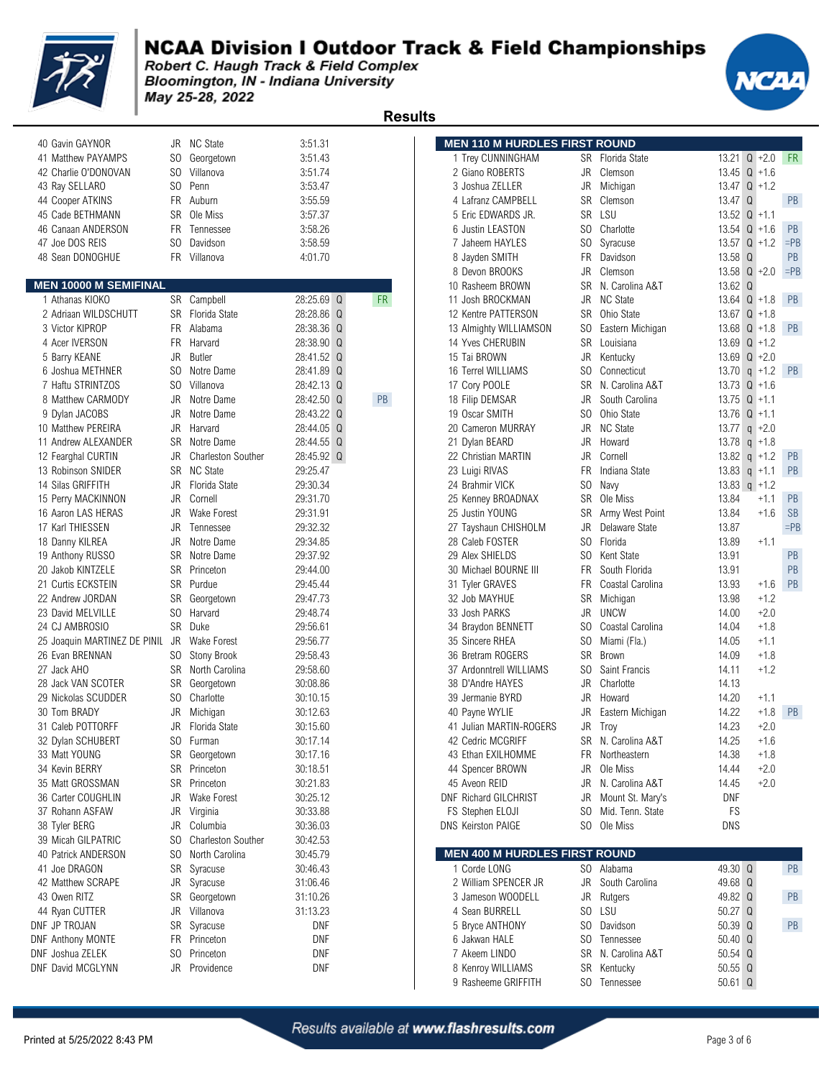

 **Results** 

Bloomington, IN - Indiana University May 25-28, 2022

| 40 Gavin GAYNOR                 |     | JR NC State               | 3:51.31       |           | <b>MEN 110 M HURDLES FIRST ROUND</b> |                |                             |            |                         |
|---------------------------------|-----|---------------------------|---------------|-----------|--------------------------------------|----------------|-----------------------------|------------|-------------------------|
| 41 Matthew PAYAMPS              |     | SO Georgetown             | 3:51.43       |           | 1 Trey CUNNINGHAM                    |                | SR Florida State            |            | $13.21 \text{ Q} + 2.0$ |
| 42 Charlie O'DONOVAN            | SO. | Villanova                 | 3:51.74       |           | 2 Giano ROBERTS                      | JR             | Clemson                     |            | 13.45 $Q + 1.6$         |
| 43 Ray SELLARO                  |     | SO Penn                   | 3:53.47       |           | 3 Joshua ZELLER                      | JR             | Michigan                    |            | 13.47 $Q + 1.2$         |
| 44 Cooper ATKINS                |     | FR Auburn                 | 3:55.59       |           | 4 Lafranz CAMPBELL                   | SR             | Clemson                     | 13.47 Q    |                         |
| 45 Cade BETHMANN                |     | SR Ole Miss               | 3:57.37       |           | 5 Eric EDWARDS JR.                   |                | SR LSU                      |            | $13.52 \quad Q +1.1$    |
| 46 Canaan ANDERSON              |     | FR Tennessee              | 3:58.26       |           | 6 Justin LEASTON                     | SO.            | Charlotte                   |            | $13.54$ Q +1.6          |
| 47 Joe DOS REIS                 | SO. | Davidson                  | 3:58.59       |           | 7 Jaheem HAYLES                      | S <sub>0</sub> | Syracuse                    |            | 13.57 $Q + 1.2$         |
| 48 Sean DONOGHUE                |     | FR Villanova              | 4:01.70       |           | 8 Jayden SMITH                       | <b>FR</b>      | Davidson                    | 13.58 Q    |                         |
|                                 |     |                           |               |           | 8 Devon BROOKS                       | JR             | Clemson                     |            | 13.58 $Q + 2.0$         |
| <b>MEN 10000 M SEMIFINAL</b>    |     |                           |               |           | 10 Rasheem BROWN                     | <b>SR</b>      | N. Carolina A&T             | 13.62 Q    |                         |
| 1 Athanas KIOKO                 |     | SR Campbell               | 28:25.69 Q    | <b>FR</b> | 11 Josh BROCKMAN                     | <b>JR</b>      | <b>NC State</b>             |            | 13.64 $Q + 1.8$         |
| 2 Adriaan WILDSCHUTT            |     | SR Florida State          | 28:28.86 Q    |           | 12 Kentre PATTERSON                  | SR             | Ohio State                  |            | 13.67 $Q + 1.8$         |
| 3 Victor KIPROP                 |     | FR Alabama                | 28:38.36 Q    |           | 13 Almighty WILLIAMSON               | S <sub>0</sub> | Eastern Michigan            |            | 13.68 $Q + 1.8$         |
| 4 Acer IVERSON                  |     | FR Harvard                | 28:38.90 Q    |           | 14 Yves CHERUBIN                     | <b>SR</b>      | Louisiana                   |            | 13.69 $Q + 1.2$         |
| 5 Barry KEANE                   | JR  | <b>Butler</b>             | 28:41.52 Q    |           | 15 Tai BROWN                         | JR             | Kentucky                    |            | 13.69 $Q + 2.0$         |
| 6 Joshua METHNER                |     | SO Notre Dame             | 28:41.89 Q    |           | 16 Terrel WILLIAMS                   | SO.            | Connecticut                 |            | 13.70 $q$ +1.2          |
| 7 Haftu STRINTZOS               |     | SO Villanova              | 28:42.13 Q    |           | 17 Cory POOLE                        | <b>SR</b>      | N. Carolina A&T             |            | 13.73 $Q + 1.6$         |
| 8 Matthew CARMODY               | JR  | Notre Dame                | 28:42.50<br>Q | PB        | 18 Filip DEMSAR                      | JR             | South Carolina              |            | 13.75 $Q + 1.1$         |
| 9 Dylan JACOBS                  | JR  | Notre Dame                | 28:43.22 Q    |           | 19 Oscar SMITH                       | SO.            | Ohio State                  |            | 13.76 $Q +1.1$          |
| 10 Matthew PEREIRA              |     | JR Harvard                | 28:44.05 Q    |           | 20 Cameron MURRAY                    | JR.            | NC State                    |            | 13.77 $q$ +2.0          |
| 11 Andrew ALEXANDER             |     | SR Notre Dame             | 28:44.55 Q    |           | 21 Dylan BEARD                       | JR             | Howard                      | 13.78      | $q + 1.8$               |
|                                 |     |                           | 28:45.92 Q    |           |                                      |                | Cornell                     |            |                         |
| 12 Fearghal CURTIN              | JR  | <b>Charleston Souther</b> |               |           | 22 Christian MARTIN                  | JR             |                             |            | 13.82 $q + 1.2$         |
| 13 Robinson SNIDER              |     | SR NC State               | 29:25.47      |           | 23 Luigi RIVAS                       | <b>FR</b>      | Indiana State               |            | 13.83 $q$ +1.1          |
| 14 Silas GRIFFITH               |     | JR Florida State          | 29:30.34      |           | 24 Brahmir VICK                      | SO.            | Navy                        |            | 13.83 $q + 1.2$         |
| 15 Perry MACKINNON              | JR  | Cornell                   | 29:31.70      |           | 25 Kenney BROADNAX                   | <b>SR</b>      | Ole Miss                    | 13.84      | $+1.1$                  |
| 16 Aaron LAS HERAS              | JR  | <b>Wake Forest</b>        | 29:31.91      |           | 25 Justin YOUNG                      | SR             | Army West Point             | 13.84      | $+1.6$                  |
| 17 Karl THIESSEN                | JR  | Tennessee                 | 29:32.32      |           | 27 Tayshaun CHISHOLM                 | <b>JR</b>      | Delaware State              | 13.87      |                         |
| 18 Danny KILREA                 | JR  | Notre Dame                | 29:34.85      |           | 28 Caleb FOSTER                      | S <sub>0</sub> | Florida                     | 13.89      | $+1.1$                  |
| 19 Anthony RUSSO                | SR  | Notre Dame                | 29:37.92      |           | 29 Alex SHIELDS                      | SO             | Kent State                  | 13.91      |                         |
| 20 Jakob KINTZELE               |     | SR Princeton              | 29:44.00      |           | 30 Michael BOURNE III                | FR             | South Florida               | 13.91      |                         |
| 21 Curtis ECKSTEIN              |     | SR Purdue                 | 29:45.44      |           | 31 Tyler GRAVES                      | FR             | Coastal Carolina            | 13.93      | $+1.6$                  |
| 22 Andrew JORDAN                | SR  | Georgetown                | 29:47.73      |           | 32 Job MAYHUE                        | SR             | Michigan                    | 13.98      | $+1.2$                  |
| 23 David MELVILLE               |     | SO Harvard                | 29:48.74      |           | 33 Josh PARKS                        | JR             | <b>UNCW</b>                 | 14.00      | $+2.0$                  |
| 24 CJ AMBROSIO                  |     | SR Duke                   | 29:56.61      |           | 34 Braydon BENNETT                   | SO             | Coastal Carolina            | 14.04      | $+1.8$                  |
| 25 Joaquin MARTINEZ DE PINIL JR |     | <b>Wake Forest</b>        | 29:56.77      |           | 35 Sincere RHEA                      | SO             | Miami (Fla.)                | 14.05      | $+1.1$                  |
| 26 Evan BRENNAN                 |     | SO Stony Brook            | 29:58.43      |           | 36 Bretram ROGERS                    | <b>SR</b>      | Brown                       | 14.09      | $+1.8$                  |
| 27 Jack AHO                     |     | SR North Carolina         | 29:58.60      |           | 37 Ardonntrell WILLIAMS              | SO             | Saint Francis               | 14.11      | $+1.2$                  |
| 28 Jack VAN SCOTER              |     | SR Georgetown             | 30:08.86      |           | 38 D'Andre HAYES                     | JR             | Charlotte                   | 14.13      |                         |
| 29 Nickolas SCUDDER             |     | SO Charlotte              | 30:10.15      |           | 39 Jermanie BYRD                     | JR             | Howard                      | 14.20      | $+1.1$                  |
| 30 Tom BRADY                    | JR  | Michigan                  | 30:12.63      |           | 40 Payne WYLIE                       | JR             | Eastern Michigan            | 14.22      | $+1.8$                  |
| 31 Caleb POTTORFF               | JR  | Florida State             | 30:15.60      |           | 41 Julian MARTIN-ROGERS              | JR             | Troy                        | 14.23      | $+2.0$                  |
| 32 Dylan SCHUBERT               |     | SO Furman                 | 30:17.14      |           | 42 Cedric MCGRIFF                    |                | SR N. Carolina A&T          | 14.25      | $+1.6$                  |
| 33 Matt YOUNG                   |     | SR Georgetown             | 30:17.16      |           | 43 Ethan EXILHOMME                   |                | FR Northeastern             | 14.38      | $+1.8$                  |
| 34 Kevin BERRY                  |     | SR Princeton              | 30:18.51      |           | 44 Spencer BROWN                     | JR             | Ole Miss                    | 14.44      | $+2.0$                  |
| 35 Matt GROSSMAN                |     | SR Princeton              | 30:21.83      |           | 45 Aveon REID                        | JR             | N. Carolina A&T             | 14.45      | $+2.0$                  |
| 36 Carter COUGHLIN              |     | JR Wake Forest            | 30:25.12      |           | DNF Richard GILCHRIST                | JR             | Mount St. Mary's            | <b>DNF</b> |                         |
| 37 Rohann ASFAW                 |     | JR Virginia               | 30:33.88      |           | FS Stephen ELOJI                     | SO.            | Mid. Tenn. State            | FS         |                         |
| 38 Tyler BERG                   |     | JR Columbia               | 30:36.03      |           | <b>DNS Keirston PAIGE</b>            | SO.            | Ole Miss                    | DNS        |                         |
| 39 Micah GILPATRIC              |     | SO Charleston Souther     | 30:42.53      |           |                                      |                |                             |            |                         |
| 40 Patrick ANDERSON             |     | SO North Carolina         | 30:45.79      |           | <b>MEN 400 M HURDLES FIRST ROUND</b> |                |                             |            |                         |
| 41 Joe DRAGON                   |     | SR Syracuse               | 30:46.43      |           | 1 Corde LONG                         |                | SO Alabama                  | 49.30 Q    |                         |
| 42 Matthew SCRAPE               |     | JR Syracuse               | 31:06.46      |           | 2 William SPENCER JR                 | JR             | South Carolina              | 49.68 Q    |                         |
| 43 Owen RITZ                    |     | SR Georgetown             | 31:10.26      |           | 3 Jameson WOODELL                    | JR             | Rutgers                     | 49.82 Q    |                         |
| 44 Ryan CUTTER                  |     | JR Villanova              | 31:13.23      |           | 4 Sean BURRELL                       |                | SO LSU                      | 50.27 Q    |                         |
| DNF JP TROJAN                   |     | SR Syracuse               | DNF           |           | 5 Bryce ANTHONY                      | SO.            | Davidson                    | 50.39 Q    |                         |
| <b>DNF Anthony MONTE</b>        |     | FR Princeton              | DNF           |           | 6 Jakwan HALE                        |                | SO Tennessee                | 50.40 Q    |                         |
| DNF Joshua ZELEK                |     | SO Princeton              | <b>DNF</b>    |           | 7 Akeem LINDO                        | SR             | N. Carolina A&T             | 50.54 Q    |                         |
| DNF David MCGLYNN               |     | JR Providence             | <b>DNF</b>    |           |                                      |                |                             | 50.55Q     |                         |
|                                 |     |                           |               |           | 8 Kenroy WILLIAMS                    |                | SR Kentucky<br>SO Tennessee |            |                         |
|                                 |     |                           |               |           | 9 Rasheeme GRIFFITH                  |                |                             | 50.61 Q    |                         |

| 40 Gavin GAYNOR                 |                | JR NC State               | 3:51.31    |           | <b>MEN 110 M HURDLES FIRST ROUND</b> |           |                      |                  |                  |           |
|---------------------------------|----------------|---------------------------|------------|-----------|--------------------------------------|-----------|----------------------|------------------|------------------|-----------|
| 41 Matthew PAYAMPS              | SO.            | Georgetown                | 3:51.43    |           | 1 Trey CUNNINGHAM                    |           | SR Florida State     |                  | 13.21 $Q + 2.0$  | FR.       |
| 42 Charlie O'DONOVAN            | SO.            | Villanova                 | 3:51.74    |           | 2 Giano ROBERTS                      | JR        | Clemson              | 13.45 $Q + 1.6$  |                  |           |
| 43 Ray SELLARO                  | S <sub>0</sub> | Penn                      | 3:53.47    |           | 3 Joshua ZELLER                      | JR        | Michigan             | 13.47 $Q + 1.2$  |                  |           |
| 44 Cooper ATKINS                | <b>FR</b>      | Auburn                    | 3:55.59    |           | 4 Lafranz CAMPBELL                   | SR        | Clemson              | 13.47 Q          |                  | PB        |
| 45 Cade BETHMANN                | SR             | Ole Miss                  | 3:57.37    |           | 5 Eric EDWARDS JR.                   | <b>SR</b> | LSU                  | $13.52$ Q $+1.1$ |                  |           |
| 46 Canaan ANDERSON              | <b>FR</b>      | Tennessee                 | 3:58.26    |           | 6 Justin LEASTON                     | SO.       | Charlotte            |                  | $13.54$ Q $+1.6$ | <b>PB</b> |
| 47 Joe DOS REIS                 | S <sub>0</sub> | Davidson                  | 3:58.59    |           | 7 Jaheem HAYLES                      | SO.       | Syracuse             |                  | 13.57 $Q + 1.2$  | $=$ PB    |
| 48 Sean DONOGHUE                | FR.            | Villanova                 | 4:01.70    |           | 8 Jayden SMITH                       | <b>FR</b> | Davidson             | 13.58 Q          |                  | PB        |
|                                 |                |                           |            |           | 8 Devon BROOKS                       | JR        | Clemson              |                  | 13.58 $Q + 2.0$  | $=$ PB    |
| <b>MEN 10000 M SEMIFINAL</b>    |                |                           |            |           | 10 Rasheem BROWN                     |           | SR N. Carolina A&T   | 13.62 Q          |                  |           |
| 1 Athanas KIOKO                 |                | SR Campbell               | 28:25.69 Q | <b>FR</b> | 11 Josh BROCKMAN                     | JR        | <b>NC State</b>      |                  | 13.64 $Q + 1.8$  | <b>PB</b> |
| 2 Adriaan WILDSCHUTT            |                | SR Florida State          | 28:28.86 Q |           | 12 Kentre PATTERSON                  | SR        | Ohio State           | 13.67 $Q + 1.8$  |                  |           |
| 3 Victor KIPROP                 | FR             | Alabama                   | 28:38.36 Q |           | 13 Almighty WILLIAMSON               | SO.       | Eastern Michigan     | 13.68 $Q + 1.8$  |                  | <b>PB</b> |
| 4 Acer IVERSON                  | FR             | Harvard                   | 28:38.90 Q |           | 14 Yves CHERUBIN                     | SR        | Louisiana            | 13.69 $Q + 1.2$  |                  |           |
| 5 Barry KEANE                   | JR             | <b>Butler</b>             | 28:41.52 Q |           | 15 Tai BROWN                         | JR        | Kentucky             | 13.69 $Q + 2.0$  |                  |           |
| 6 Joshua METHNER                | S <sub>0</sub> | Notre Dame                | 28:41.89 Q |           | 16 Terrel WILLIAMS                   | SO.       | Connecticut          |                  | 13.70 $q$ +1.2   | PB        |
| 7 Haftu STRINTZOS               | SO.            | Villanova                 | 28:42.13 Q |           | 17 Cory POOLE                        | SR        | N. Carolina A&T      |                  | 13.73 $Q + 1.6$  |           |
| 8 Matthew CARMODY               | JR             | Notre Dame                | 28:42.50 Q | PB        | 18 Filip DEMSAR                      | JR        | South Carolina       | $13.75$ Q $+1.1$ |                  |           |
| 9 Dylan JACOBS                  | JR             | Notre Dame                | 28:43.22 Q |           | 19 Oscar SMITH                       | SO.       | Ohio State           | 13.76 $Q + 1.1$  |                  |           |
| 10 Matthew PEREIRA              | JR             | Harvard                   | 28:44.05 Q |           | 20 Cameron MURRAY                    | JR        | <b>NC State</b>      | 13.77 $q + 2.0$  |                  |           |
| 11 Andrew ALEXANDER             | <b>SR</b>      | Notre Dame                | 28:44.55 Q |           | 21 Dylan BEARD                       | JR        | Howard               | 13.78 $q + 1.8$  |                  |           |
| 12 Fearghal CURTIN              | JR             | <b>Charleston Souther</b> | 28:45.92 Q |           | 22 Christian MARTIN                  | JR        | Cornell              |                  | 13.82 $q + 1.2$  | <b>PB</b> |
| 13 Robinson SNIDER              | <b>SR</b>      | <b>NC State</b>           | 29:25.47   |           | 23 Luigi RIVAS                       | <b>FR</b> | Indiana State        | 13.83 $q$ +1.1   |                  | PB        |
| 14 Silas GRIFFITH               | JR             | Florida State             | 29:30.34   |           | 24 Brahmir VICK                      | SO.       | Navy                 |                  | 13.83 $q$ +1.2   |           |
| 15 Perry MACKINNON              | JR.            | Cornell                   | 29:31.70   |           | 25 Kenney BROADNAX                   |           | SR Ole Miss          | 13.84            | $+1.1$           | <b>PB</b> |
| 16 Aaron LAS HERAS              | JR             | Wake Forest               | 29:31.91   |           | 25 Justin YOUNG                      | SR        | Army West Point      | 13.84            | $+1.6$           | <b>SB</b> |
| 17 Karl THIESSEN                | JR             | Tennessee                 | 29:32.32   |           | 27 Tayshaun CHISHOLM                 | JR        | Delaware State       | 13.87            |                  | $=$ PB    |
| 18 Danny KILREA                 | JR             | Notre Dame                | 29:34.85   |           | 28 Caleb FOSTER                      | SO.       | Florida              | 13.89            | $+1.1$           |           |
| 19 Anthony RUSSO                | <b>SR</b>      | Notre Dame                | 29:37.92   |           | 29 Alex SHIELDS                      | SO.       | Kent State           | 13.91            |                  | <b>PB</b> |
| 20 Jakob KINTZELE               | <b>SR</b>      | Princeton                 | 29:44.00   |           | 30 Michael BOURNE III                | FR.       | South Florida        | 13.91            |                  | PB        |
| 21 Curtis ECKSTEIN              | <b>SR</b>      | Purdue                    | 29:45.44   |           | 31 Tyler GRAVES                      | FR        | Coastal Carolina     | 13.93            | $+1.6$           | PB        |
| 22 Andrew JORDAN                | SR             | Georgetown                | 29:47.73   |           | 32 Job MAYHUE                        | SR        | Michigan             | 13.98            | $+1.2$           |           |
| 23 David MELVILLE               | SO.            | Harvard                   | 29:48.74   |           | 33 Josh PARKS                        | JR        | UNCW                 | 14.00            | $+2.0$           |           |
| 24 CJ AMBROSIO                  | <b>SR</b>      | Duke                      | 29:56.61   |           | 34 Braydon BENNETT                   | SO.       | Coastal Carolina     | 14.04            | $+1.8$           |           |
| 25 Joaquin MARTINEZ DE PINIL JR |                | Wake Forest               | 29:56.77   |           | 35 Sincere RHEA                      | SO.       | Miami (Fla.)         | 14.05            | $+1.1$           |           |
| 26 Evan BRENNAN                 | SO.            | <b>Stony Brook</b>        | 29:58.43   |           | 36 Bretram ROGERS                    | <b>SR</b> | <b>Brown</b>         | 14.09            | $+1.8$           |           |
| 27 Jack AHO                     | SR             | North Carolina            | 29:58.60   |           | 37 Ardonntrell WILLIAMS              | SO.       | <b>Saint Francis</b> | 14.11            | $+1.2$           |           |
| 28 Jack VAN SCOTER              | SR             | Georgetown                | 30:08.86   |           | 38 D'Andre HAYES                     | JR        | Charlotte            | 14.13            |                  |           |
| 29 Nickolas SCUDDER             | SO.            | Charlotte                 | 30:10.15   |           | 39 Jermanie BYRD                     | JR        | Howard               | 14.20            | $+1.1$           |           |
| 30 Tom BRADY                    | JR             | Michigan                  | 30:12.63   |           | 40 Payne WYLIE                       | JR        | Eastern Michigan     | 14.22            | $+1.8$           | PB        |
| 31 Caleb POTTORFF               | JR             | Florida State             | 30:15.60   |           | 41 Julian MARTIN-ROGERS              |           | JR Troy              | 14.23            | $+2.0$           |           |
| 32 Dylan SCHUBERT               |                | SO Furman                 | 30:17.14   |           | 42 Cedric MCGRIFF                    |           | SR N. Carolina A&T   | 14.25            | $+1.6$           |           |
| 33 Matt YOUNG                   |                | SR Georgetown             | 30:17.16   |           | 43 Ethan EXILHOMME                   |           | FR Northeastern      | 14.38            | $+1.8$           |           |
| 34 Kevin BERRY                  |                | SR Princeton              | 30:18.51   |           | 44 Spencer BROWN                     | JR        | Ole Miss             | 14.44            | $+2.0$           |           |
| 35 Matt GROSSMAN                |                | SR Princeton              | 30:21.83   |           | 45 Aveon REID                        |           | JR N. Carolina A&T   | 14.45            | $+2.0$           |           |
| 36 Carter COUGHLIN              | JR             | Wake Forest               | 30:25.12   |           | DNF Richard GILCHRIST                | JR        | Mount St. Mary's     | <b>DNF</b>       |                  |           |
| 37 Rohann ASFAW                 | JR             | Virginia                  | 30:33.88   |           | FS Stephen ELOJI                     | SO.       | Mid. Tenn. State     | FS               |                  |           |
| 38 Tyler BERG                   | JR             | Columbia                  | 30:36.03   |           | <b>DNS Keirston PAIGE</b>            |           | SO Ole Miss          | DNS              |                  |           |
| 39 Micah GILPATRIC              | SO.            | <b>Charleston Souther</b> | 30:42.53   |           |                                      |           |                      |                  |                  |           |
| 40 Patrick ANDERSON             | SO.            | North Carolina            | 30:45.79   |           | <b>MEN 400 M HURDLES FIRST ROUND</b> |           |                      |                  |                  |           |
| 41 Joe DRAGON                   | SR             | Syracuse                  | 30:46.43   |           | 1 Corde LONG                         |           | SO Alabama           | 49.30 Q          |                  | PB        |
| 42 Matthew SCRAPE               | JR             | Syracuse                  | 31:06.46   |           | 2 William SPENCER JR                 |           | JR South Carolina    | 49.68 Q          |                  |           |
| 43 Owen RITZ                    | SR             | Georgetown                | 31:10.26   |           | 3 Jameson WOODELL                    | JR        | Rutgers              | 49.82 Q          |                  | PB        |
| 44 Ryan CUTTER                  | JR             | Villanova                 | 31:13.23   |           | 4 Sean BURRELL                       |           | SO LSU               | 50.27 Q          |                  |           |
| DNF JP TROJAN                   | SR             | Syracuse                  | <b>DNF</b> |           | 5 Bryce ANTHONY                      | SO.       | Davidson             | 50.39 Q          |                  | PB        |
| <b>DNF Anthony MONTE</b>        |                | FR Princeton              | DNF        |           | 6 Jakwan HALE                        | SO.       | Tennessee            | 50.40 Q          |                  |           |
| DNF Joshua ZELEK                | SO.            | Princeton                 | <b>DNF</b> |           | 7 Akeem LINDO                        |           | SR N. Carolina A&T   | 50.54 Q          |                  |           |
| DNF David MCGLYNN               | JR             | Providence                | DNF        |           | 8 Kenroy WILLIAMS                    |           | SR Kentucky          | $50.55$ Q        |                  |           |
|                                 |                |                           |            |           | 9 Rasheeme GRIFFITH                  |           | SO Tennessee         | $50.61$ Q        |                  |           |
|                                 |                |                           |            |           |                                      |           |                      |                  |                  |           |



Results available at www.flashresults.com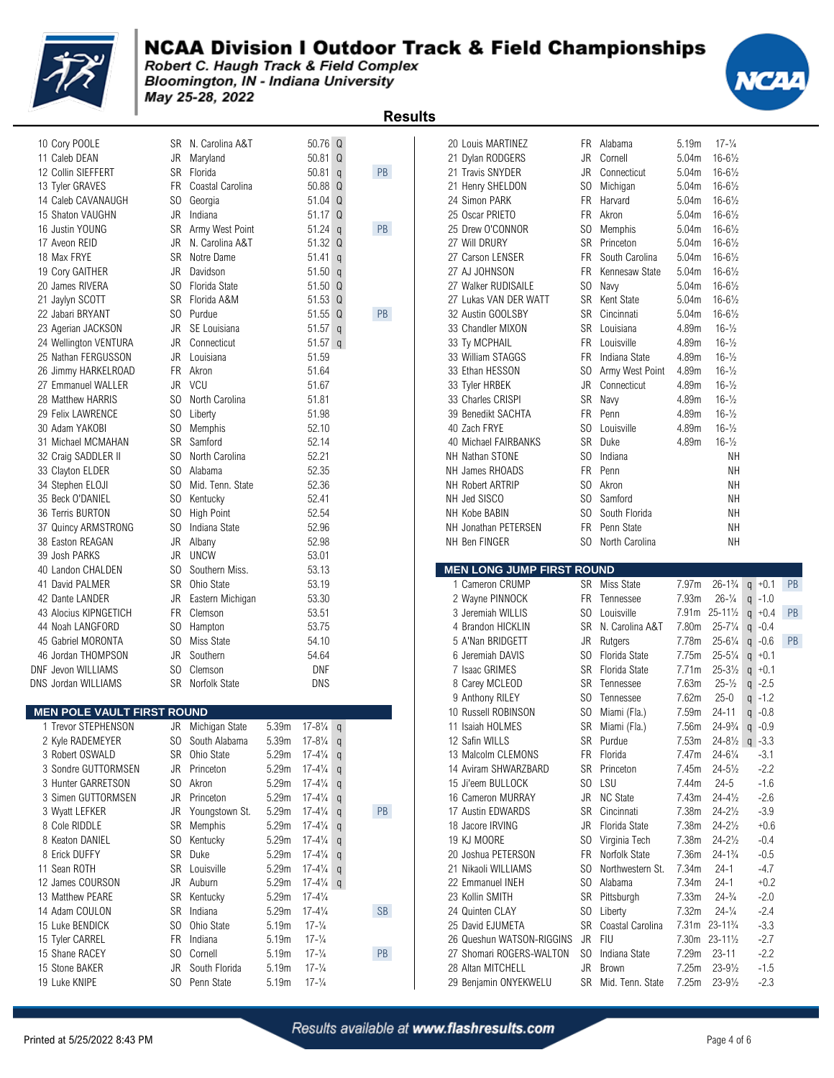

### **NCAA Division I Outdoor Track & Field Championships**

Robert C. Haugh Track & Field Complex Bloomington, IN - Indiana University May 25-28, 2022

| 10 Cory POOLE                     | SR        | N. Carolina A&T   |       | 50.76               |
|-----------------------------------|-----------|-------------------|-------|---------------------|
| 11 Caleb DEAN                     | JR        | Maryland          |       | 50.81               |
| 12 Collin SIEFFERT                | SR        | Florida           |       | 50.81               |
| 13 Tyler GRAVES                   | FR.       | Coastal Carolina  |       | 50.88               |
| 14 Caleb CAVANAUGH                | SO.       | Georgia           |       | 51.04               |
| 15 Shaton VAUGHN                  | JR        | Indiana           |       | 51.17               |
| 16 Justin YOUNG                   | SR        | Army West Point   |       | 51.24               |
| 17 Aveon REID                     | JR        | N. Carolina A&T   |       | 51.32               |
| 18 Max FRYE                       | SR        | Notre Dame        |       | 51.41               |
| 19 Cory GAITHER                   | JR        | Davidson          |       | 51.50               |
| 20 James RIVERA                   |           | SO Florida State  |       | 51.50               |
| 21 Jaylyn SCOTT                   | <b>SR</b> | Florida A&M       |       | 51.53               |
| 22 Jabari BRYANT                  |           | SO Purdue         |       | 51.55               |
| 23 Agerian JACKSON                | JR        | SE Louisiana      |       | 51.57               |
| 24 Wellington VENTURA             | JR        | Connecticut       |       | 51.57               |
| 25 Nathan FERGUSSON               | JR        | Louisiana         |       | 51.59               |
| 26 Jimmy HARKELROAD               | FR -      | Akron             |       | 51.64               |
| 27 Emmanuel WALLER                |           | JR VCU            |       | 51.67               |
| 28 Matthew HARRIS                 | SO.       | North Carolina    |       | 51.81               |
| 29 Felix LAWRENCE                 | SO.       | Liberty           |       | 51.98               |
| 30 Adam YAKOBI                    | SO.       | Memphis           |       | 52.10               |
| 31 Michael MCMAHAN                | SR        | Samford           |       | 52.14               |
| 32 Craig SADDLER II               | SO.       | North Carolina    |       | 52.21               |
| 33 Clayton ELDER                  | SO.       | Alabama           |       | 52.35               |
| 34 Stephen ELOJI                  | SO.       | Mid. Tenn. State  |       | 52.36               |
| 35 Beck O'DANIEL                  |           | SO Kentucky       |       | 52.41               |
| 36 Terris BURTON                  | SO.       | <b>High Point</b> |       | 52.54               |
| 37 Quincy ARMSTRONG               | SO.       | Indiana State     |       | 52.96               |
| 38 Easton REAGAN                  | JR        | Albany            |       | 52.98               |
| 39 Josh PARKS                     | JR        | <b>UNCW</b>       |       | 53.01               |
| 40 Landon CHALDEN                 | SO.       | Southern Miss.    |       | 53.13               |
| 41 David PALMER                   | SR        | Ohio State        |       | 53.19               |
| 42 Dante LANDER                   | JR        | Eastern Michigan  |       | 53.30               |
| 43 Alocius KIPNGETICH             | FR.       | Clemson           |       | 53.51               |
| 44 Noah LANGFORD                  | SO.       | Hampton           |       | 53.75               |
| 45 Gabriel MORONTA                | SO.       | Miss State        |       | 54.10               |
| 46 Jordan THOMPSON                | JR        | Southern          |       | 54.64               |
| DNF Jevon WILLIAMS                | SO -      | Clemson           |       | DNF                 |
| DNS Jordan WILLIAMS               | SR        | Norfolk State     |       | <b>DNS</b>          |
|                                   |           |                   |       |                     |
| <b>MEN POLE VAULT FIRST ROUND</b> |           |                   |       |                     |
| 1 Trevor STEPHENSON               |           | JR Michigan State | 5.39m | $17 - 8\frac{1}{4}$ |
| 2 Kyle RADEMEYER                  | SO        | South Alabama     | 5.39m | $17 - 8\frac{1}{4}$ |
| 3 Robert OSWALD                   | SR        | Ohio State        | 5.29m | 17-4¼               |
| 3 Sondre GUTTORMSEN               | JR        | Princeton         | 5.29m | 17-4¼               |
| 3 Hunter GARRETSON                | SO        | Akron             | 5.29m | 17-4¼               |
| 3 Simen GUTTORMSEN                | JR        | Princeton         | 5.29m | 17-4¼               |
| 3 Wyatt LEFKER                    | JR        | Youngstown St.    | 5.29m | $17 - 4\frac{1}{4}$ |
| 8 Cole RIDDLE                     | SR        | Memphis           | 5.29m | 17-4¼               |
| 8 Keaton DANIEL                   | SO        | Kentucky          | 5.29m | $17 - 4\frac{1}{4}$ |
| 8 Erick DUFFY                     | SR        | Duke              | 5.29m | 17-4¼               |
|                                   |           |                   |       | 11/                 |

| <b>II VAICU DLAIV</b>                     |           | iviai ylällu                          |                            | JU.UI U                                  |              |    | 21 DYIAH NUDULING                          |           | <b>VUITEII</b>               | J.U <del>4</del> III | $10 - 0/2$                              |                              |
|-------------------------------------------|-----------|---------------------------------------|----------------------------|------------------------------------------|--------------|----|--------------------------------------------|-----------|------------------------------|----------------------|-----------------------------------------|------------------------------|
| 12 Collin SIEFFERT                        |           | SR Florida                            |                            | 50.81 $q$                                |              | PB | 21 Travis SNYDER                           | JR        | Connecticut                  | 5.04m                | $16 - 6\frac{1}{2}$                     |                              |
| 13 Tyler GRAVES                           |           | FR Coastal Carolina                   |                            | 50.88 Q                                  |              |    | 21 Henry SHELDON                           | SO.       | Michigan                     | 5.04m                | $16 - 6\frac{1}{2}$                     |                              |
| 14 Caleb CAVANAUGH                        | SO.       | Georgia                               |                            | 51.04 Q                                  |              |    | 24 Simon PARK                              | FR        | Harvard                      | 5.04m                | $16 - 6\frac{1}{2}$                     |                              |
| 15 Shaton VAUGHN                          | JR        | Indiana                               |                            | 51.17 Q                                  |              |    | 25 Oscar PRIETO                            | FR.       | Akron                        | 5.04m                | $16 - 6\frac{1}{2}$                     |                              |
| 16 Justin YOUNG                           | SR        | Army West Point                       |                            | $51.24$ q                                |              | PB | 25 Drew O'CONNOR                           | SO        | Memphis                      | 5.04m                | $16 - 6\frac{1}{2}$                     |                              |
| 17 Aveon REID                             | JR        | N. Carolina A&T                       |                            | 51.32 Q                                  |              |    | 27 Will DRURY                              | SR        | Princeton                    | 5.04m                | $16 - 6\frac{1}{2}$                     |                              |
| 18 Max FRYE                               | SR.       | Notre Dame                            |                            | $51.41$ q                                |              |    | 27 Carson LENSER                           | FR        | South Carolina               | 5.04m                | $16 - 6\frac{1}{2}$                     |                              |
| 19 Cory GAITHER                           | JR        | Davidson                              |                            | $51.50$ q                                |              |    | 27 AJ JOHNSON                              | FR        | Kennesaw State               | 5.04m                | $16 - 6\frac{1}{2}$                     |                              |
| 20 James RIVERA                           | SO.       | Florida State                         |                            | 51.50 Q                                  |              |    | 27 Walker RUDISAILE                        | SO.       | Navy                         | 5.04m                | $16 - 6\frac{1}{2}$                     |                              |
| 21 Jaylyn SCOTT                           |           | SR Florida A&M                        |                            | 51.53 Q                                  |              |    | 27 Lukas VAN DER WATT                      | SR        | Kent State                   | 5.04m                | $16 - 6\frac{1}{2}$                     |                              |
| 22 Jabari BRYANT                          |           | SO Purdue                             |                            | $51.55 \quad Q$                          |              | PB | 32 Austin GOOLSBY                          | <b>SR</b> | Cincinnati                   | 5.04m                | $16 - 6\frac{1}{2}$                     |                              |
| 23 Agerian JACKSON                        |           | JR SE Louisiana                       |                            | $51.57$ q                                |              |    | 33 Chandler MIXON                          | SR        | Louisiana                    | 4.89m                | $16 - \frac{1}{2}$                      |                              |
| 24 Wellington VENTURA                     | JR        | Connecticut                           |                            | 51.57 $q$                                |              |    | 33 Ty MCPHAIL                              | FR.       | Louisville                   | 4.89m                | $16 - \frac{1}{2}$                      |                              |
| 25 Nathan FERGUSSON                       | JR        | Louisiana                             |                            | 51.59                                    |              |    | 33 William STAGGS                          | FR        | Indiana State                | 4.89m                | $16 - \frac{1}{2}$                      |                              |
| 26 Jimmy HARKELROAD                       |           | FR Akron                              |                            | 51.64                                    |              |    | 33 Ethan HESSON                            | SO.       | Army West Point              | 4.89m                | $16 - \frac{1}{2}$                      |                              |
| 27 Emmanuel WALLER                        | JR        | VCU                                   |                            | 51.67                                    |              |    | 33 Tyler HRBEK                             | JR        | Connecticut                  | 4.89m                | $16 - \frac{1}{2}$                      |                              |
| 28 Matthew HARRIS                         | SO.       | North Carolina                        |                            | 51.81                                    |              |    | 33 Charles CRISPI                          | SR        | Navy                         | 4.89m                | $16 - \frac{1}{2}$                      |                              |
| 29 Felix LAWRENCE                         | SO.       | Liberty                               |                            | 51.98                                    |              |    | 39 Benedikt SACHTA                         | FR        | Penn                         | 4.89m                | $16 - \frac{1}{2}$                      |                              |
| 30 Adam YAKOBI                            | SO.       | Memphis                               |                            | 52.10                                    |              |    | 40 Zach FRYE                               | SO.       | Louisville                   | 4.89m                | $16 - \frac{1}{2}$                      |                              |
| 31 Michael MCMAHAN                        | SR        | Samford                               |                            | 52.14                                    |              |    | 40 Michael FAIRBANKS                       | <b>SR</b> | Duke                         | 4.89m                | $16 - \frac{1}{2}$                      |                              |
| 32 Craig SADDLER II                       | SO.       | North Carolina                        |                            | 52.21                                    |              |    | NH Nathan STONE                            | SO.       | Indiana                      |                      | NΗ                                      |                              |
| 33 Clayton ELDER                          | SO.       | Alabama                               |                            | 52.35                                    |              |    | NH James RHOADS                            | FR        | Penn                         |                      | <b>NH</b>                               |                              |
| 34 Stephen ELOJI                          | SO.       | Mid. Tenn. State                      |                            | 52.36                                    |              |    | NH Robert ARTRIP                           | SO.       | Akron                        |                      | NΗ                                      |                              |
| 35 Beck O'DANIEL                          | SO.       | Kentucky                              |                            | 52.41                                    |              |    | NH Jed SISCO                               | SO.       | Samford                      |                      | NΗ                                      |                              |
| 36 Terris BURTON                          | SO.       | High Point                            |                            | 52.54                                    |              |    | NH Kobe BABIN                              | SO.       | South Florida                |                      | NΗ                                      |                              |
| 37 Quincy ARMSTRONG                       | SO.       | Indiana State                         |                            | 52.96                                    |              |    | NH Jonathan PETERSEN                       | FR        | Penn State                   |                      | <b>NH</b>                               |                              |
| 38 Easton REAGAN                          | JR        | Albany                                |                            | 52.98                                    |              |    | NH Ben FINGER                              | SO.       | North Carolina               |                      | NΗ                                      |                              |
| 39 Josh PARKS                             | JR        | <b>UNCW</b>                           |                            | 53.01                                    |              |    |                                            |           |                              |                      |                                         |                              |
| 40 Landon CHALDEN                         | SO.       | Southern Miss.                        |                            | 53.13                                    |              |    | <b>MEN LONG JUMP FIRST ROUND</b>           |           |                              |                      |                                         |                              |
| 41 David PALMER                           | <b>SR</b> | Ohio State                            |                            | 53.19                                    |              |    | 1 Cameron CRUMP                            |           | SR Miss State                | 7.97m                | $26 - 1\frac{3}{4}$                     | $q + 0.1$                    |
| 42 Dante LANDER                           | JR        | Eastern Michigan                      |                            | 53.30                                    |              |    | 2 Wayne PINNOCK                            | FR        | Tennessee                    | 7.93m                | $26 - \frac{1}{4}$                      | $q$ -1.0                     |
| 43 Alocius KIPNGETICH                     | FR        | Clemson                               |                            | 53.51                                    |              |    | 3 Jeremiah WILLIS                          | SO.       | Louisville                   |                      | 7.91m 25-111/2                          | $q + 0.4$                    |
| 44 Noah LANGFORD                          | SO.       | Hampton                               |                            | 53.75                                    |              |    | 4 Brandon HICKLIN                          | SR        | N. Carolina A&T              | 7.80m                | $25 - 7\frac{1}{4}$                     | $q -0.4$                     |
| 45 Gabriel MORONTA                        | SO.       | Miss State                            |                            | 54.10                                    |              |    | 5 A'Nan BRIDGETT                           | JR        | Rutgers                      | 7.78m                | $25 - 6\frac{1}{4}$                     | $q$ -0.6                     |
| 46 Jordan THOMPSON                        | JR        | Southern                              |                            | 54.64                                    |              |    | 6 Jeremiah DAVIS                           | SO.       | Florida State                | 7.75m                | $25 - 5\frac{1}{4}$                     | $q + 0.1$                    |
| NF Jevon WILLIAMS                         | SO.       | Clemson                               |                            | DNF                                      |              |    | 7 Isaac GRIMES                             | SR.       | Florida State                | 7.71m                | $25 - 3\frac{1}{2}$                     | $q + 0.1$                    |
| INS Jordan WILLIAMS                       |           | SR Norfolk State                      |                            | DNS                                      |              |    | 8 Carey MCLEOD                             | SR        | Tennessee                    | 7.63m                | $25 - \frac{1}{2}$                      | $q -2.5$                     |
|                                           |           |                                       |                            |                                          |              |    | 9 Anthony RILEY                            | SO.       | Tennessee                    | 7.62m                | $25 - 0$                                | $q - 1.2$                    |
| <b>MEN POLE VAULT FIRST ROUND</b>         |           |                                       |                            |                                          |              |    | 10 Russell ROBINSON                        | SO.       | Miami (Fla.)                 | 7.59m                | $24 - 11$                               | $q -0.8$                     |
| 1 Trevor STEPHENSON                       |           |                                       |                            | $17 - 8\frac{1}{4}$ q                    |              |    |                                            | SR        |                              | 7.56m                | $24 - 9\frac{3}{4}$                     | $q$ -0.9                     |
|                                           |           | JR Michigan State<br>SO South Alabama | 5.39 <sub>m</sub><br>5.39m | $17 - 8\frac{1}{4}$                      |              |    | 11 Isaiah HOLMES                           |           | Miami (Fla.)                 | 7.53m                |                                         | $24 - 8\frac{1}{2}$ g $-3.3$ |
| 2 Kyle RADEMEYER                          |           | SR Ohio State                         | 5.29m                      | $17 - 4\frac{1}{4}$                      | $\mathsf{q}$ |    | 12 Safin WILLS                             | SR<br>FR. | Purdue                       | 7.47m                | $24 - 6\frac{1}{4}$                     | $-3.1$                       |
| 3 Robert OSWALD                           |           | JR Princeton                          |                            | 5.29m 17-41/4 q                          | $\mathsf{q}$ |    | 13 Malcolm CLEMONS<br>14 Aviram SHWARZBARD |           | Florida<br>SR Princeton      | 7.45m                | $24 - 5\frac{1}{2}$                     | $-2.2$                       |
| 3 Sondre GUTTORMSEN<br>3 Hunter GARRETSON |           |                                       |                            |                                          |              |    | 15 Ji'eem BULLOCK                          |           | SO LSU                       |                      |                                         | $-1.6$                       |
|                                           |           | SO Akron                              |                            | $5.29m$ 17-41/ <sub>4</sub>              | q            |    |                                            |           |                              | 7.44m                | $24 - 5$                                |                              |
| 3 Simen GUTTORMSEN                        |           | JR Princeton                          | 5.29m                      | $17 - 4\frac{1}{4}$                      | q            |    | 16 Cameron MURRAY                          |           | JR NC State<br>Cincinnati    | 7.43m<br>7.38m       | $24 - 4\frac{1}{2}$                     | $-2.6$                       |
| 3 Wyatt LEFKER                            |           |                                       |                            |                                          |              | PB | 17 Austin EDWARDS                          |           |                              |                      | $24 - 2\frac{1}{2}$                     | $-3.9$                       |
| 8 Cole RIDDLE                             | JR        | Youngstown St.                        | 5.29m                      | $17-4\frac{1}{4}$ q                      |              |    |                                            | SR        |                              |                      |                                         |                              |
| 8 Keaton DANIEL                           |           | SR Memphis                            | 5.29m                      | $17 - 4\frac{1}{4}$                      | $\mathsf{q}$ |    | 18 Jacore IRVING                           | JR        | Florida State                | 7.38m                | $24 - 2\frac{1}{2}$                     | $+0.6$                       |
|                                           |           | SO Kentucky                           | 5.29m                      | $17 - 4\frac{1}{4}$                      | $\mathsf{q}$ |    | 19 KJ MOORE                                |           | SO Virginia Tech             | 7.38m                | $24 - 2\frac{1}{2}$                     | $-0.4$                       |
| 8 Erick DUFFY                             | SR        | Duke                                  | 5.29m                      | $17 - 4\frac{1}{4}$                      | $\mathsf{q}$ |    | 20 Joshua PETERSON                         | FR        | Norfolk State                | 7.36m                | $24 - 1\frac{3}{4}$                     | $-0.5$                       |
| 11 Sean ROTH                              | SR        | Louisville                            | 5.29m                      | $17-4\frac{1}{4}$ q                      |              |    | 21 Nikaoli WILLIAMS                        | SO        | Northwestern St.             | 7.34m                | $24-1$                                  | $-4.7$                       |
| 12 James COURSON                          |           | JR Auburn                             | 5.29m                      | $17-4\frac{1}{4}$ q                      |              |    | 22 Emmanuel INEH                           | SO.       | Alabama                      | 7.34m                | $24-1$                                  | $+0.2$                       |
| 13 Matthew PEARE                          | SR        | Kentucky                              | 5.29m                      | $17 - 4\frac{1}{4}$                      |              |    | 23 Kollin SMITH                            | SR        | Pittsburgh                   | 7.33m                | $24 - \frac{3}{4}$                      | $-2.0$                       |
| 14 Adam COULON                            | SR        | Indiana                               | 5.29m                      | $17 - 4\frac{1}{4}$                      |              | SB | 24 Quinten CLAY                            | SO.       | Liberty                      | 7.32m                | $24 - \frac{1}{4}$                      | $-2.4$                       |
| 15 Luke BENDICK                           | SO.       | Ohio State                            | 5.19m                      | $17 - \frac{1}{4}$                       |              |    | 25 David EJUMETA                           | SR        | Coastal Carolina             |                      | 7.31m 23-11 <sup>3</sup> / <sub>4</sub> | $-3.3$                       |
| 15 Tyler CARREL                           | <b>FR</b> | Indiana                               | 5.19m                      | $17 - \frac{1}{4}$                       |              |    | 26 Queshun WATSON-RIGGINS                  | JR        | FIU                          |                      | 7.30m 23-111/2                          | $-2.7$                       |
| 15 Shane RACEY                            |           | SO Cornell                            | 5.19m                      | $17 - \frac{1}{4}$                       |              | PB | 27 Shomari ROGERS-WALTON                   | SO.       | Indiana State                | 7.29m                | $23 - 11$                               | $-2.2$                       |
| 15 Stone BAKER<br>19 Luke KNIPE           |           | JR South Florida<br>SO Penn State     | 5.19m<br>5.19m             | $17 - \frac{1}{4}$<br>$17 - \frac{1}{4}$ |              |    | 28 Altan MITCHELL<br>29 Benjamin ONYEKWELU | JR        | Brown<br>SR Mid. Tenn. State | 7.25m                | $23 - 9\frac{1}{2}$<br>7.25m 23-91/2    | $-1.5$<br>$-2.3$             |

|                                   |                |                                |                |                                          |                | <b>Results</b> |                                               |                |                              |                   |                                         |                              |    |
|-----------------------------------|----------------|--------------------------------|----------------|------------------------------------------|----------------|----------------|-----------------------------------------------|----------------|------------------------------|-------------------|-----------------------------------------|------------------------------|----|
| 10 Cory POOLE                     |                | SR N. Carolina A&T             |                | 50.76 Q                                  |                |                | 20 Louis MARTINEZ                             |                | FR Alabama                   | 5.19m             | $17 - \frac{1}{4}$                      |                              |    |
| 11 Caleb DEAN                     | JR             | Maryland                       |                | 50.81 Q                                  |                |                | 21 Dylan RODGERS                              | JR             | Cornell                      | 5.04m             | $16 - 6\frac{1}{2}$                     |                              |    |
| 12 Collin SIEFFERT                |                | SR Florida                     |                | $50.81$ q                                |                | PB             | 21 Travis SNYDER                              | <b>JR</b>      | Connecticut                  | 5.04m             | $16 - 6\frac{1}{2}$                     |                              |    |
| 13 Tyler GRAVES                   |                | FR Coastal Carolina            |                | 50.88 Q                                  |                |                | 21 Henry SHELDON                              | SO.            | Michigan                     | 5.04m             | $16 - 6\frac{1}{2}$                     |                              |    |
| 14 Caleb CAVANAUGH                |                | SO Georgia                     |                | 51.04 Q                                  |                |                | 24 Simon PARK                                 | FR             | Harvard                      | 5.04m             | $16 - 6\frac{1}{2}$                     |                              |    |
| 15 Shaton VAUGHN                  | JR             | Indiana                        |                | 51.17 Q                                  |                |                | 25 Oscar PRIETO                               | FR.            | Akron                        | 5.04m             | $16 - 6\frac{1}{2}$                     |                              |    |
| 16 Justin YOUNG                   | SR             | Army West Point                |                | 51.24                                    | $\mathsf{q}$   | PB             | 25 Drew O'CONNOR                              | SO             | Memphis                      | 5.04m             | $16 - 6\frac{1}{2}$                     |                              |    |
| 17 Aveon REID                     | JR             | N. Carolina A&T                |                | 51.32 Q                                  |                |                | 27 Will DRURY                                 | SR             | Princeton                    | 5.04m             | $16 - 6\frac{1}{2}$                     |                              |    |
| 18 Max FRYE                       | SR             | Notre Dame                     |                | 51.41                                    | $\mathsf{q}$   |                | 27 Carson LENSER                              | FR.            | South Carolina               | 5.04m             | $16 - 6\frac{1}{2}$                     |                              |    |
| 19 Cory GAITHER                   | JR             | Davidson                       |                | $51.50$ q                                |                |                | 27 AJ JOHNSON                                 | FR.            | Kennesaw State               | 5.04m             | $16 - 6\frac{1}{2}$                     |                              |    |
| 20 James RIVERA                   | SO             | Florida State                  |                | 51.50 Q                                  |                |                | 27 Walker RUDISAILE                           | S <sub>0</sub> | Navy                         | 5.04m             | $16 - 6\frac{1}{2}$                     |                              |    |
| 21 Jaylyn SCOTT                   |                | SR Florida A&M                 |                | 51.53 Q                                  |                |                | 27 Lukas VAN DER WATT                         | SR             | Kent State                   | 5.04m             | $16 - 6\frac{1}{2}$                     |                              |    |
| 22 Jabari BRYANT                  |                | SO Purdue                      |                | 51.55 Q                                  |                | PB             | 32 Austin GOOLSBY                             | SR             | Cincinnati                   | 5.04m             | $16 - 6\frac{1}{2}$                     |                              |    |
| 23 Agerian JACKSON                | JR             | SE Louisiana                   |                | $51.57$ q                                |                |                | 33 Chandler MIXON                             | SR             | Louisiana                    | 4.89m             | $16 - \frac{1}{2}$                      |                              |    |
| 24 Wellington VENTURA             | JR             | Connecticut                    |                | $51.57$ q                                |                |                | 33 Ty MCPHAIL                                 | FR             | Louisville                   | 4.89m             | $16 - \frac{1}{2}$                      |                              |    |
| 25 Nathan FERGUSSON               |                | JR Louisiana                   |                | 51.59                                    |                |                | 33 William STAGGS                             | FR             | Indiana State                | 4.89m             | $16 - \frac{1}{2}$                      |                              |    |
| 26 Jimmy HARKELROAD               |                | FR Akron                       |                | 51.64                                    |                |                | 33 Ethan HESSON                               | SO.            | Army West Point              | 4.89m             | $16 - \frac{1}{2}$                      |                              |    |
| 27 Emmanuel WALLER                | JR             | <b>VCU</b>                     |                | 51.67                                    |                |                | 33 Tyler HRBEK                                | JR             | Connecticut                  | 4.89m             | $16 - \frac{1}{2}$                      |                              |    |
| 28 Matthew HARRIS                 | SO.            | North Carolina                 |                | 51.81                                    |                |                | 33 Charles CRISPI                             | SR             | Navy                         | 4.89m             | $16 - \frac{1}{2}$                      |                              |    |
| 29 Felix LAWRENCE                 |                | SO Liberty                     |                | 51.98                                    |                |                | 39 Benedikt SACHTA                            | FR.            | Penn                         | 4.89m             | $16 - \frac{1}{2}$                      |                              |    |
| 30 Adam YAKOBI                    |                | SO Memphis                     |                | 52.10                                    |                |                | 40 Zach FRYE                                  | SO.            | Louisville                   | 4.89m             | $16 - \frac{1}{2}$                      |                              |    |
| 31 Michael MCMAHAN                | SR             | Samford                        |                | 52.14                                    |                |                | 40 Michael FAIRBANKS                          | <b>SR</b>      | Duke                         | 4.89m             | $16 - \frac{1}{2}$                      |                              |    |
| 32 Craig SADDLER II               | SO.            | North Carolina                 |                | 52.21                                    |                |                | NH Nathan STONE                               | SO.            | Indiana                      |                   | <b>NH</b>                               |                              |    |
| 33 Clayton ELDER                  |                | SO Alabama                     |                | 52.35                                    |                |                | NH James RHOADS                               | <b>FR</b>      | Penn                         |                   | <b>NH</b>                               |                              |    |
| 34 Stephen ELOJI                  | SO.            | Mid. Tenn. State               |                | 52.36                                    |                |                | NH Robert ARTRIP                              | SO.            | Akron                        |                   | <b>NH</b>                               |                              |    |
| 35 Beck O'DANIEL                  | SO             | Kentucky                       |                | 52.41                                    |                |                | NH Jed SISCO                                  | SO             | Samford                      |                   | <b>NH</b>                               |                              |    |
| 36 Terris BURTON                  | SO.            | <b>High Point</b>              |                | 52.54                                    |                |                | NH Kobe BABIN                                 | SO.            | South Florida                |                   | NΗ                                      |                              |    |
| 37 Quincy ARMSTRONG               | SO.            | Indiana State                  |                | 52.96                                    |                |                | NH Jonathan PETERSEN                          | FR.            | Penn State                   |                   | <b>NH</b>                               |                              |    |
| 38 Easton REAGAN                  | JR             | Albany                         |                | 52.98                                    |                |                | NH Ben FINGER                                 | SO.            | North Carolina               |                   | <b>NH</b>                               |                              |    |
| 39 Josh PARKS                     | JR             | <b>UNCW</b>                    |                | 53.01                                    |                |                |                                               |                |                              |                   |                                         |                              |    |
| 40 Landon CHALDEN                 |                | SO Southern Miss.              |                | 53.13                                    |                |                | <b>MEN LONG JUMP FIRST ROUND</b>              |                |                              |                   |                                         |                              |    |
| 41 David PALMER                   |                | SR Ohio State                  |                | 53.19                                    |                |                | 1 Cameron CRUMP                               |                | SR Miss State                | 7.97m             | $26 - 1\frac{3}{4}$                     | $q + 0.1$                    | PB |
| 42 Dante LANDER                   | JR             | Eastern Michigan               |                | 53.30                                    |                |                | 2 Wayne PINNOCK                               | <b>FR</b>      | Tennessee                    | 7.93m             | $26 - \frac{1}{4}$                      | $q - 1.0$                    |    |
| 43 Alocius KIPNGETICH             | <b>FR</b>      | Clemson                        |                | 53.51                                    |                |                | 3 Jeremiah WILLIS                             | S <sub>0</sub> | Louisville                   | 7.91 <sub>m</sub> | $25 - 11\frac{1}{2}$                    | $q + 0.4$                    | PB |
| 44 Noah LANGFORD                  |                | SO Hampton                     |                | 53.75                                    |                |                | 4 Brandon HICKLIN                             | SR             | N. Carolina A&T              | 7.80m             | $25 - 7\frac{1}{4}$                     | $q -0.4$                     |    |
| 45 Gabriel MORONTA                |                | SO Miss State                  |                | 54.10                                    |                |                | 5 A'Nan BRIDGETT                              | JR             | Rutgers                      | 7.78m             | $25 - 6\frac{1}{4}$                     | $q -0.6$                     | PB |
| 46 Jordan THOMPSON                | JR             | Southern                       |                | 54.64                                    |                |                | 6 Jeremiah DAVIS                              | SO.            | Florida State                | 7.75m             | $25 - 5\frac{1}{4}$                     | $q + 0.1$                    |    |
| <b>DNF Jevon WILLIAMS</b>         | S <sub>0</sub> | Clemson                        |                | <b>DNF</b>                               |                |                | 7 Isaac GRIMES                                | <b>SR</b>      | Florida State                | 7.71m             | $25 - 3\frac{1}{2}$                     | $q + 0.1$                    |    |
| DNS Jordan WILLIAMS               |                | SR Norfolk State               |                | <b>DNS</b>                               |                |                | 8 Carey MCLEOD                                | SR             | Tennessee                    | 7.63m             | $25 - \frac{1}{2}$                      | $q -2.5$                     |    |
|                                   |                |                                |                |                                          |                |                | 9 Anthony RILEY                               | SO.            | Tennessee                    | 7.62m             | $25 - 0$                                | $q - 1.2$                    |    |
| <b>MEN POLE VAULT FIRST ROUND</b> |                |                                |                |                                          |                |                | 10 Russell ROBINSON                           |                | SO Miami (Fla.)              | 7.59m             | $24 - 11$                               | $q -0.8$                     |    |
| 1 Trevor STEPHENSON               | JR             | Michigan State                 | 5.39m          | $17 - 8\frac{1}{4}$                      | q              |                | 11 Isaiah HOLMES                              |                | SR Miami (Fla.)              | 7.56m             |                                         | $24 - 9\frac{3}{4}$ q $-0.9$ |    |
|                                   |                |                                |                |                                          |                |                |                                               |                |                              |                   |                                         | $24-8\frac{1}{2}$ q -3.3     |    |
| 2 Kyle RADEMEYER                  |                | SO South Alabama               | 5.39m          | $17 - 8\frac{1}{4}$                      | q              |                | 12 Safin WILLS                                |                | SR Purdue                    | 7.53m             |                                         | $-3.1$                       |    |
| 3 Robert OSWALD                   |                | SR Ohio State                  | 5.29m          | $17 - 4\frac{1}{4}$                      | $\mathsf{q}$   |                | 13 Malcolm CLEMONS                            |                | FR Florida                   | 7.47m             | $24 - 6\frac{1}{4}$                     |                              |    |
| 3 Sondre GUTTORMSEN               |                | JR Princeton                   | 5.29m          | $17 - 4\frac{1}{4}$                      | $\mathfrak{q}$ |                | 14 Aviram SHWARZBARD                          |                | SR Princeton                 | 7.45m             | $24 - 5\frac{1}{2}$                     | $-2.2$                       |    |
| 3 Hunter GARRETSON                |                | SO Akron                       | 5.29m          | $17 - 4\frac{1}{4}$                      | $\mathfrak{q}$ |                | 15 Ji'eem BULLOCK                             |                | SO LSU                       | 7.44m             | $24 - 5$                                | $-1.6$                       |    |
| 3 Simen GUTTORMSEN                |                | JR Princeton                   | 5.29m          | $17 - 4\frac{1}{4}$                      | $\mathsf{q}$   |                | 16 Cameron MURRAY                             |                | JR NC State                  | 7.43m             | $24 - 4\frac{1}{2}$                     | $-2.6$                       |    |
| 3 Wyatt LEFKER                    |                | JR Youngstown St.              | 5.29m          | $17 - 4\frac{1}{4}$                      | $\mathsf{q}$   | PB             | 17 Austin EDWARDS                             | SR             | Cincinnati                   | 7.38m             | $24 - 2\frac{1}{2}$                     | $-3.9$                       |    |
| 8 Cole RIDDLE                     |                | SR Memphis                     | 5.29m          | $17-4\frac{1}{4}$ q                      |                |                | 18 Jacore IRVING                              | JR             | Florida State                | 7.38m             | $24 - 2\frac{1}{2}$                     | $+0.6$                       |    |
| 8 Keaton DANIEL                   |                | SO Kentucky                    | 5.29m          | $17 - 4\frac{1}{4}$                      | $\mathfrak{q}$ |                | 19 KJ MOORE                                   | SO.            | Virginia Tech                | 7.38m             | $24 - 2\frac{1}{2}$                     | $-0.4$                       |    |
| 8 Erick DUFFY                     |                | SR Duke                        | 5.29m          | $17 - 4\frac{1}{4}$                      | $\mathsf{q}$   |                | 20 Joshua PETERSON                            | FR             | Norfolk State                | 7.36m             | $24 - 1\frac{3}{4}$                     | $-0.5$                       |    |
| 11 Sean ROTH                      |                | SR Louisville                  | 5.29m          | $17 - 4\frac{1}{4}$                      | $\mathsf{q}$   |                | 21 Nikaoli WILLIAMS                           | SO.            | Northwestern St.             | 7.34m             | $24-1$                                  | -4.7                         |    |
| 12 James COURSON                  |                | JR Auburn                      | 5.29m          | $17-4\frac{1}{4}$ q                      |                |                | 22 Emmanuel INEH                              | SO.            | Alabama                      | 7.34m             | $24-1$                                  | $+0.2$                       |    |
| 13 Matthew PEARE                  |                | SR Kentucky                    | 5.29m          | $17 - 4\frac{1}{4}$                      |                |                | 23 Kollin SMITH                               |                | SR Pittsburgh                | 7.33m             | $24 - \frac{3}{4}$                      | $-2.0$                       |    |
| 14 Adam COULON                    |                | SR Indiana                     | 5.29m          | $17 - 4\frac{1}{4}$                      |                | SB             | 24 Quinten CLAY                               |                | SO Liberty                   | 7.32m             | $24 - \frac{1}{4}$                      | $-2.4$                       |    |
| 15 Luke BENDICK                   |                | SO Ohio State                  | 5.19m          | $17 - \frac{1}{4}$                       |                |                | 25 David EJUMETA                              |                | SR Coastal Carolina          |                   | 7.31m 23-11 <sup>3</sup> / <sub>4</sub> | $-3.3$                       |    |
| 15 Tyler CARREL                   |                | FR Indiana                     | 5.19m          | $17 - \frac{1}{4}$                       |                |                | 26 Queshun WATSON-RIGGINS                     |                | JR FIU                       |                   | 7.30m 23-111/2                          | $-2.7$                       |    |
| 15 Shane RACEY<br>15 Stone BAKER  |                | SO Cornell<br>JR South Florida | 5.19m<br>5.19m | $17 - \frac{1}{4}$<br>$17 - \frac{1}{4}$ |                | PB             | 27 Shomari ROGERS-WALTON<br>28 Altan MITCHELL |                | SO Indiana State<br>JR Brown | 7.29m<br>7.25m    | $23 - 11$<br>$23 - 9\frac{1}{2}$        | $-2.2$<br>$-1.5$             |    |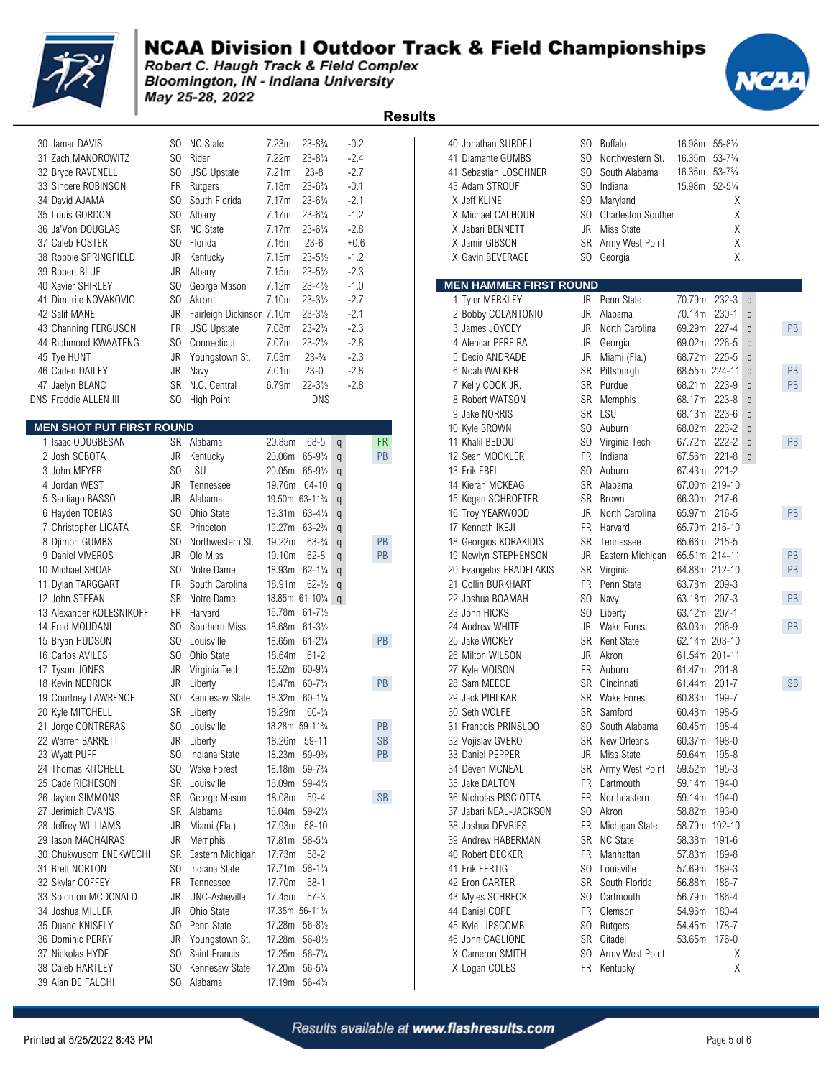

Bloomington, IN - Indiana University May 25-28, 2022



| J.                              |                |                           |                                          |                     |               | <b>Results</b>       |                               |                |                           |                 |                     |                |
|---------------------------------|----------------|---------------------------|------------------------------------------|---------------------|---------------|----------------------|-------------------------------|----------------|---------------------------|-----------------|---------------------|----------------|
| 30 Jamar DAVIS                  | SO.            | <b>NC State</b>           | 7.23m                                    | $23 - 8\frac{3}{4}$ | $-0.2$        |                      | 40 Jonathan SURDEJ            |                | SO Buffalo                | 16.98m 55-81/2  |                     |                |
| 31 Zach MANOROWITZ              | S <sub>0</sub> | Rider                     | 7.22m                                    | $23 - 8\frac{1}{4}$ | $-2.4$        |                      | 41 Diamante GUMBS             | S <sub>0</sub> | Northwestern St.          | 16.35m          | $53 - 73/4$         |                |
| 32 Bryce RAVENELL               | SO.            | <b>USC Upstate</b>        | 7.21m                                    | $23 - 8$            | $-2.7$        |                      | 41 Sebastian LOSCHNER         | SO.            | South Alabama             | 16.35m          | $53 - 7\frac{3}{4}$ |                |
| 33 Sincere ROBINSON             | FR             | Rutgers                   | 7.18m                                    | $23 - 6\frac{3}{4}$ | $-0.1$        |                      | 43 Adam STROUF                | S <sub>0</sub> | Indiana                   | 15.98m 52-51/4  |                     |                |
| 34 David AJAMA                  | S <sub>0</sub> | South Florida             | 7.17m                                    | $23 - 6\frac{1}{4}$ | $-2.1$        |                      | X Jeff KLINE                  | SO             | Maryland                  |                 | Χ                   |                |
| 35 Louis GORDON                 | SO.            | Albany                    | 7.17m                                    | $23 - 6\frac{1}{4}$ | $-1.2$        |                      | X Michael CALHOUN             | SO             | <b>Charleston Souther</b> |                 | Χ                   |                |
| 36 Ja'Von DOUGLAS               | SR             | <b>NC State</b>           | 7.17m                                    | $23 - 6\frac{1}{4}$ | $-2.8$        |                      | X Jabari BENNETT              | JR             | Miss State                |                 | Χ                   |                |
| 37 Caleb FOSTER                 | SO.            | Florida                   | 7.16m                                    | $23 - 6$            | $+0.6$        |                      | X Jamir GIBSON                | SR             | Army West Point           |                 | Χ                   |                |
| 38 Robbie SPRINGFIELD           | JR             | Kentucky                  | 7.15m                                    | $23 - 5\frac{1}{2}$ | $-1.2$        |                      | X Gavin BEVERAGE              | SO             | Georgia                   |                 | X                   |                |
| 39 Robert BLUE                  | JR             | Albany                    | 7.15m                                    | $23 - 5\frac{1}{2}$ | $-2.3$        |                      |                               |                |                           |                 |                     |                |
| 40 Xavier SHIRLEY               | SO.            | George Mason              | 7.12m                                    | $23 - 4\frac{1}{2}$ | $-1.0$        |                      | <b>MEN HAMMER FIRST ROUND</b> |                |                           |                 |                     |                |
| 41 Dimitrije NOVAKOVIC          | SO.            | Akron                     | 7.10 <sub>m</sub>                        | $23 - 3\frac{1}{2}$ | $-2.7$        |                      | 1 Tyler MERKLEY               |                | JR Penn State             | 70.79m 232-3 q  |                     |                |
| 42 Salif MANE                   | JR             | Fairleigh Dickinson 7.10m |                                          | $23 - 3\frac{1}{2}$ | $-2.1$        |                      | 2 Bobby COLANTONIO            | <b>JR</b>      | Alabama                   | 70.14m          | $230 - 1$           | $\mathbf q$    |
| 43 Channing FERGUSON            | <b>FR</b>      | <b>USC Upstate</b>        | 7.08m                                    | $23 - 2\frac{3}{4}$ | $-2.3$        |                      | 3 James JOYCEY                | JR             | North Carolina            | 69.29m          | $227 - 4$           | q              |
| 44 Richmond KWAATENG            | S <sub>0</sub> | Connecticut               | 7.07 <sub>m</sub>                        | $23 - 2\frac{1}{2}$ | $-2.8$        |                      | 4 Alencar PEREIRA             | <b>JR</b>      | Georgia                   | 69.02m          | 226-5               |                |
|                                 | JR             |                           | 7.03m                                    | $23 - \frac{3}{4}$  | $-2.3$        |                      | 5 Decio ANDRADE               | <b>JR</b>      |                           |                 | $225 - 5$           | q              |
| 45 Tye HUNT                     |                | Youngstown St.            |                                          | $23-0$              | $-2.8$        |                      |                               | <b>SR</b>      | Miami (Fla.)              | 68.72m          |                     | $\overline{q}$ |
| 46 Caden DAILEY                 | JR             | Navy                      | 7.01 <sub>m</sub>                        |                     |               |                      | 6 Noah WALKER                 |                | Pittsburgh                | 68.55m 224-11 q |                     |                |
| 47 Jaelyn BLANC                 | <b>SR</b>      | N.C. Central              | 6.79m                                    | $22 - 3\frac{1}{2}$ | $-2.8$        |                      | 7 Kelly COOK JR.              | <b>SR</b>      | Purdue                    | 68.21m          | $223 - 9$           | $\mathbf q$    |
| <b>DNS Freddie ALLEN III</b>    | SO.            | High Point                |                                          | <b>DNS</b>          |               |                      | 8 Robert WATSON               | SR             | Memphis                   | 68.17m          | $223 - 8$           | q              |
|                                 |                |                           |                                          |                     |               |                      | 9 Jake NORRIS                 | <b>SR</b>      | LSU                       | 68.13m          | 223-6               | $\mathbf q$    |
| <b>MEN SHOT PUT FIRST ROUND</b> |                |                           |                                          |                     |               |                      | 10 Kyle BROWN                 | SO.            | Auburn                    | 68.02m          | 223-2               | $\mathbf q$    |
| 1 Isaac ODUGBESAN               | <b>SR</b>      | Alabama                   | 20.85m                                   | 68-5                | q             | <b>FR</b>            | 11 Khalil BEDOUI              | SO             | Virginia Tech             | 67.72m          | $222 - 2$           | $\mathbf q$    |
| 2 Josh SOBOTA                   | JR             | Kentucky                  | 20.06m 65-93/4                           |                     | $\mathfrak q$ | PB                   | 12 Sean MOCKLER               | FR.            | Indiana                   | 67.56m          | $221 - 8$           |                |
| 3 John MEYER                    | SO.            | LSU                       | 20.05m                                   | $65 - 9\frac{1}{2}$ | $\mathsf{q}$  |                      | 13 Erik EBEL                  | SO.            | Auburn                    | 67.43m          | $221 - 2$           |                |
| 4 Jordan WEST                   | JR             | Tennessee                 | 19.76m 64-10                             |                     | $\mathsf{q}$  |                      | 14 Kieran MCKEAG              | <b>SR</b>      | Alabama                   | 67.00m 219-10   |                     |                |
| 5 Santiago BASSO                | JR             | Alabama                   | 19.50m 63-11 <sup>3</sup> / <sub>4</sub> |                     | $\mathsf{q}$  |                      | 15 Kegan SCHROETER            | <b>SR</b>      | <b>Brown</b>              | 66.30m          | 217-6               |                |
| 6 Hayden TOBIAS                 | SO.            | Ohio State                | 19.31m 63-41/4                           |                     | $\mathsf{q}$  |                      | 16 Troy YEARWOOD              | JR             | North Carolina            | 65.97m 216-5    |                     |                |
| 7 Christopher LICATA            | <b>SR</b>      | Princeton                 | 19.27m                                   | $63 - 2\frac{3}{4}$ | $\mathsf{q}$  |                      | 17 Kenneth IKEJI              | <b>FR</b>      | Harvard                   | 65.79m 215-10   |                     |                |
| 8 Djimon GUMBS                  | SO.            | Northwestern St.          | 19.22m                                   | $63-3/4$            | $\mathsf{q}$  | PB                   | 18 Georgios KORAKIDIS         | SR             | Tennessee                 | 65.66m 215-5    |                     |                |
| 9 Daniel VIVEROS                | JR             | Ole Miss                  | 19.10m                                   | $62 - 8$            | $\mathsf{q}$  | PB                   | 19 Newlyn STEPHENSON          | JR             | Eastern Michigan          | 65.51m 214-11   |                     |                |
| 10 Michael SHOAF                | SO.            | Notre Dame                | 18.93m 62-11/4                           |                     | $\mathsf{q}$  |                      | 20 Evangelos FRADELAKIS       | SR             | Virginia                  | 64.88m 212-10   |                     |                |
| 11 Dylan TARGGART               | <b>FR</b>      | South Carolina            | 18.91m                                   | $62 - \frac{1}{2}$  | $\mathsf{q}$  |                      | 21 Collin BURKHART            | FR             | Penn State                | 63.78m          | 209-3               |                |
| 12 John STEFAN                  | SR             | Notre Dame                |                                          | 18.85m 61-101/4 q   |               |                      | 22 Joshua BOAMAH              | SO             | Navy                      | 63.18m          | $207 - 3$           |                |
| 13 Alexander KOLESNIKOFF        | FR.            | Harvard                   | 18.78m 61-71/2                           |                     |               |                      | 23 John HICKS                 | SO             | Liberty                   | 63.12m 207-1    |                     |                |
| 14 Fred MOUDANI                 | SO.            | Southern Miss.            | 18.68m 61-31/2                           |                     |               |                      | 24 Andrew WHITE               | JR             | Wake Forest               | 63.03m 206-9    |                     |                |
| 15 Bryan HUDSON                 | SO.            | Louisville                | 18.65m 61-21/4                           |                     |               | PB                   | 25 Jake WICKEY                | SR             | Kent State                | 62.14m 203-10   |                     |                |
| 16 Carlos AVILES                | SO.            | Ohio State                | 18.64m                                   | $61 - 2$            |               |                      | 26 Milton WILSON              | <b>JR</b>      | Akron                     | 61.54m 201-11   |                     |                |
| 17 Tyson JONES                  | JR             | Virginia Tech             | 18.52m 60-91/4                           |                     |               |                      | 27 Kyle MOISON                | FR.            | Auburn                    | 61.47m          | $201 - 8$           |                |
| 18 Kevin NEDRICK                | JR             | Liberty                   | 18.47m                                   | 60-71/4             |               | PB                   | 28 Sam MEECE                  | SR             | Cincinnati                | 61.44m          | $201 - 7$           |                |
| 19 Courtney LAWRENCE            | SO             | Kennesaw State            | 18.32m                                   | $60 - 1\frac{1}{4}$ |               |                      | 29 Jack PIHLKAR               | <b>SR</b>      | <b>Wake Forest</b>        | 60.83m          | 199-7               |                |
| 20 Kyle MITCHELL                | <b>SR</b>      | Liberty                   | 18.29m                                   | $60-1/4$            |               |                      | 30 Seth WOLFE                 |                | SR Samford                | 60.48m 198-5    |                     |                |
| 21 Jorge CONTRERAS              | SO.            | Louisville                | 18.28m 59-11 <sup>3</sup> / <sub>4</sub> |                     |               | PB                   | 31 Francois PRINSLOO          | SO.            | South Alabama             | 60.45m 198-4    |                     |                |
| 22 Warren BARRETT               | JR             | Liberty                   | 18.26m 59-11                             |                     |               | <b>SB</b>            | 32 Vojislav GVERO             | SR             | New Orleans               | 60.37m 198-0    |                     |                |
| 23 Wyatt PUFF                   | SO.            | Indiana State             | 18.23m 59-93/4                           |                     |               | PB                   | 33 Daniel PEPPER              | JR             | Miss State                | 59.64m 195-8    |                     |                |
| 24 Thomas KITCHELL              | SO.            | Wake Forest               | 18.18m 59-7 <sup>3</sup> / <sub>4</sub>  |                     |               |                      | 34 Deven MCNEAL               | SR             | Army West Point           | 59.52m 195-3    |                     |                |
| 25 Cade RICHESON                | SR             | Louisville                | 18.09m 59-41/4                           |                     |               |                      | 35 Jake DALTON                | FR             | Dartmouth                 | 59.14m 194-0    |                     |                |
| 26 Jaylen SIMMONS               | SR             | George Mason              | 18.08m                                   | 59-4                |               | $\mathsf{SB}\xspace$ | 36 Nicholas PISCIOTTA         | FR             | Northeastern              | 59.14m 194-0    |                     |                |
| 27 Jerimiah EVANS               | SR             | Alabama                   | 18.04m 59-21/4                           |                     |               |                      | 37 Jabari NEAL-JACKSON        | SO.            | Akron                     | 58.82m 193-0    |                     |                |
| 28 Jeffrey WILLIAMS             | JR             | Miami (Fla.)              | 17.93m 58-10                             |                     |               |                      | 38 Joshua DEVRIES             | FR             | Michigan State            | 58.79m 192-10   |                     |                |
| 29 Iason MACHAIRAS              | JR             | Memphis                   | 17.81m 58-51/4                           |                     |               |                      | 39 Andrew HABERMAN            |                | SR NC State               | 58.38m 191-6    |                     |                |
| 30 Chukwusom ENEKWECHI          | SR             | Eastern Michigan          | 17.73m                                   | $58 - 2$            |               |                      | 40 Robert DECKER              | FR             | Manhattan                 | 57.83m 189-8    |                     |                |
| 31 Brett NORTON                 | SO.            | Indiana State             | 17.71m 58-11/4                           |                     |               |                      | 41 Erik FERTIG                | SO             | Louisville                | 57.69m 189-3    |                     |                |
| 32 Skylar COFFEY                | FR             | Tennessee                 | 17.70m                                   | $58-1$              |               |                      | 42 Eron CARTER                | SR             | South Florida             | 56.88m          | 186-7               |                |
| 33 Solomon MCDONALD             | JR             | <b>UNC-Asheville</b>      | 17.45m 57-3                              |                     |               |                      | 43 Myles SCHRECK              | SO.            | Dartmouth                 | 56.79m 186-4    |                     |                |
| 34 Joshua MILLER                | JR             | Ohio State                | 17.35m 56-111/4                          |                     |               |                      | 44 Daniel COPE                | FR             | Clemson                   | 54.96m          | 180-4               |                |
| 35 Duane KNISELY                | SO.            | Penn State                | 17.28m 56-81/2                           |                     |               |                      |                               | SO             |                           | 54.45m 178-7    |                     |                |
|                                 |                |                           |                                          |                     |               |                      | 45 Kyle LIPSCOMB              |                | Rutgers                   |                 |                     |                |
| 36 Dominic PERRY                |                | JR Youngstown St.         | 17.28m 56-81/2                           |                     |               |                      | 46 John CAGLIONE              |                | SR Citadel                | 53.65m 176-0    |                     |                |

39 Alan DE FALCHI SO Alabama 17.19m 56-41/4

Kennesaw State 17.20m 56-5¼<br> $30$  Alabama 17.19m 56-4¼

| 30 Jamar DAVIS                     |                | SO NC State                       | 7.23m             | $23 - 8\frac{3}{4}$                      | $-0.2$         |           | 40 Jonathan SURDEJ            | SO.            | <b>Buffalo</b>            | 16.98m 55-81/2 |                     |                       |
|------------------------------------|----------------|-----------------------------------|-------------------|------------------------------------------|----------------|-----------|-------------------------------|----------------|---------------------------|----------------|---------------------|-----------------------|
| 31 Zach MANOROWITZ                 | SO.            | Rider                             | 7.22m             | $23 - 8\frac{1}{4}$                      | $-2.4$         |           | 41 Diamante GUMBS             | SO.            | Northwestern St.          | 16.35m 53-73/4 |                     |                       |
| 32 Bryce RAVENELL                  | SO.            | <b>USC Upstate</b>                | 7.21m             | $23 - 8$                                 | $-2.7$         |           | 41 Sebastian LOSCHNER         | SO.            | South Alabama             | 16.35m         | $53 - 7\frac{3}{4}$ |                       |
| 33 Sincere ROBINSON                | FR             | Rutgers                           | 7.18m             | $23 - 6\frac{3}{4}$                      | $-0.1$         |           | 43 Adam STROUF                | SO.            | Indiana                   | 15.98m 52-51/4 |                     |                       |
| 34 David AJAMA                     | SO.            | South Florida                     | 7.17m             | $23 - 6\frac{1}{4}$                      | $-2.1$         |           | X Jeff KLINE                  | S <sub>0</sub> |                           |                | Χ                   |                       |
|                                    |                |                                   |                   |                                          |                |           |                               |                | Maryland                  |                |                     |                       |
| 35 Louis GORDON                    | SO.            | Albany                            | 7.17m             | $23 - 6\frac{1}{4}$                      | $-1.2$         |           | X Michael CALHOUN             | SO.            | <b>Charleston Souther</b> |                | Χ                   |                       |
| 36 Ja'Von DOUGLAS                  | SR             | <b>NC State</b>                   | 7.17m             | $23 - 6\frac{1}{4}$                      | $-2.8$         |           | X Jabari BENNETT              | JR             | Miss State                |                | Χ                   |                       |
| 37 Caleb FOSTER                    | SO.            | Florida                           | 7.16m             | $23 - 6$                                 | $+0.6$         |           | X Jamir GIBSON                | SR             | Army West Point           |                | Χ                   |                       |
| 38 Robbie SPRINGFIELD              | JR             | Kentucky                          | 7.15m             | $23 - 5\frac{1}{2}$                      | $-1.2$         |           | X Gavin BEVERAGE              | SO.            | Georgia                   |                | X                   |                       |
| 39 Robert BLUE                     | JR             | Albany                            | 7.15m             | $23 - 5\frac{1}{2}$                      | $-2.3$         |           |                               |                |                           |                |                     |                       |
| 40 Xavier SHIRLEY                  | SO.            | George Mason                      | 7.12m             | $23 - 4\frac{1}{2}$                      | $-1.0$         |           | <b>MEN HAMMER FIRST ROUND</b> |                |                           |                |                     |                       |
| 41 Dimitrije NOVAKOVIC             | SO.            | Akron                             | 7.10m             | $23 - 3\frac{1}{2}$                      | $-2.7$         |           | 1 Tyler MERKLEY               | JR             | Penn State                | 70.79m         | $232 - 3$ q         |                       |
| 42 Salif MANE                      | JR             | Fairleigh Dickinson 7.10m         |                   | $23 - 3\frac{1}{2}$                      | $-2.1$         |           | 2 Bobby COLANTONIO            | JR             | Alabama                   | 70.14m         | $230 - 1$           | $\mathfrak{q}$        |
| 43 Channing FERGUSON               |                | FR USC Upstate                    | 7.08m             | $23 - 2\frac{3}{4}$                      | $-2.3$         |           | 3 James JOYCEY                | JR             | North Carolina            | 69.29m         | 227-4               | PB<br>$\mathfrak q$   |
| 44 Richmond KWAATENG               |                | SO Connecticut                    | 7.07m             | $23 - 2\frac{1}{2}$                      | $-2.8$         |           | 4 Alencar PEREIRA             | JR             | Georgia                   | 69.02m         | $226 - 5$           | $\alpha$              |
| 45 Tye HUNT                        | JR             | Youngstown St.                    | 7.03m             | $23 - \frac{3}{4}$                       | $-2.3$         |           | 5 Decio ANDRADE               | JR             | Miami (Fla.)              | 68.72m         | $225 - 5$           | $\alpha$              |
| 46 Caden DAILEY                    | JR             | Navy                              | 7.01 <sub>m</sub> | $23-0$                                   | $-2.8$         |           | 6 Noah WALKER                 | SR             | Pittsburgh                |                | 68.55m 224-11       | <b>PB</b><br>$\alpha$ |
| 47 Jaelyn BLANC                    |                | SR N.C. Central                   | 6.79m             | $22 - 3\frac{1}{2}$                      | $-2.8$         |           | 7 Kelly COOK JR.              | SR             | Purdue                    | 68.21m         | 223-9               | PB<br>$\alpha$        |
| VS Freddie ALLEN III               |                | SO High Point                     |                   | <b>DNS</b>                               |                |           | 8 Robert WATSON               | SR             | Memphis                   | 68.17m         | $223 - 8$           |                       |
|                                    |                |                                   |                   |                                          |                |           |                               | <b>SR</b>      | LSU                       |                | $223 - 6$           | $\mathsf{q}$          |
|                                    |                |                                   |                   |                                          |                |           | 9 Jake NORRIS                 |                |                           | 68.13m         |                     | $\alpha$              |
| <b>// AEN SHOT PUT FIRST ROUND</b> |                |                                   |                   |                                          |                |           | 10 Kyle BROWN                 | SO.            | Auburn                    | 68.02m         | $223 - 2$           | $\mathsf{q}$          |
| 1 Isaac ODUGBESAN                  |                | SR Alabama                        | 20.85m            | 68-5                                     | $\mathsf{q}$   | <b>FR</b> | 11 Khalil BEDOUI              | SO.            | Virginia Tech             | 67.72m         | 222-2               | PB<br>$\mathfrak q$   |
| 2 Josh SOBOTA                      | JR             | Kentucky                          |                   | 20.06m 65-9 <sup>3</sup> / <sub>4</sub>  | $\mathfrak{q}$ | PB        | 12 Sean MOCKLER               | FR             | Indiana                   | 67.56m         | $221 - 8$ q         |                       |
| 3 John MEYER                       | S <sub>0</sub> | LSU                               |                   | 20.05m 65-91/2                           | $\mathfrak q$  |           | 13 Erik EBEL                  | SO.            | Auburn                    | 67.43m         | $221 - 2$           |                       |
| 4 Jordan WEST                      | JR             | Tennessee                         |                   | 19.76m 64-10                             | $\alpha$       |           | 14 Kieran MCKEAG              | <b>SR</b>      | Alabama                   | 67.00m 219-10  |                     |                       |
| 5 Santiago BASSO                   | JR             | Alabama                           |                   | 19.50m 63-11 <sup>3</sup> / <sub>4</sub> | $\alpha$       |           | 15 Kegan SCHROETER            | SR             | <b>Brown</b>              | 66.30m 217-6   |                     |                       |
| 6 Hayden TOBIAS                    | SO.            | Ohio State                        |                   | 19.31m 63-41/4                           | $\mathfrak q$  |           | 16 Troy YEARWOOD              | JR             | North Carolina            | 65.97m 216-5   |                     | PB                    |
| 7 Christopher LICATA               | SR             | Princeton                         |                   | 19.27m 63-2 <sup>3</sup> / <sub>4</sub>  | $\mathfrak q$  |           | 17 Kenneth IKEJI              | <b>FR</b>      | Harvard                   | 65.79m 215-10  |                     |                       |
| 8 Djimon GUMBS                     | SO.            | Northwestern St.                  | 19.22m            | $63-3/4$                                 | $\mathfrak q$  | PB        | 18 Georgios KORAKIDIS         | SR.            | Tennessee                 | 65.66m 215-5   |                     |                       |
| 9 Daniel VIVEROS                   | JR             | Ole Miss                          | 19.10m            | $62 - 8$                                 | $\mathfrak q$  | PB        | 19 Newlyn STEPHENSON          | JR             | Eastern Michigan          | 65.51m 214-11  |                     | PB                    |
| 10 Michael SHOAF                   | SO.            | Notre Dame                        |                   | 18.93m 62-11/4                           | $\mathfrak q$  |           | 20 Evangelos FRADELAKIS       | <b>SR</b>      | Virginia                  | 64.88m 212-10  |                     | PB                    |
| 11 Dylan TARGGART                  | FR             | South Carolina                    | 18.91m            | $62 - \frac{1}{2}$                       | $\mathfrak q$  |           | 21 Collin BURKHART            | FR             | Penn State                | 63.78m 209-3   |                     |                       |
| 12 John STEFAN                     | SR             | Notre Dame                        |                   | 18.85m 61-101/4 q                        |                |           | 22 Joshua BOAMAH              | SO.            | Navy                      | 63.18m         | $207 - 3$           | <b>PB</b>             |
| 13 Alexander KOLESNIKOFF           | FR.            | Harvard                           |                   | 18.78m 61-71/2                           |                |           | 23 John HICKS                 | SO.            | Liberty                   | 63.12m         | $207 - 1$           |                       |
| 14 Fred MOUDANI                    | SO.            | Southern Miss.                    |                   | 18.68m 61-31/2                           |                |           | 24 Andrew WHITE               | JR.            | <b>Wake Forest</b>        | 63.03m         | 206-9               | PB                    |
|                                    |                | Louisville                        |                   |                                          |                |           |                               | <b>SR</b>      | Kent State                | 62.14m 203-10  |                     |                       |
| 15 Bryan HUDSON                    | SO.            |                                   |                   | 18.65m 61-21/4                           |                | PB        | 25 Jake WICKEY                |                |                           |                |                     |                       |
| 16 Carlos AVILES                   | SO.            | Ohio State                        | 18.64m            | $61 - 2$                                 |                |           | 26 Milton WILSON              | JR             | Akron                     | 61.54m 201-11  |                     |                       |
| 17 Tyson JONES                     | JR             | Virginia Tech                     | 18.52m 60-91/4    |                                          |                |           | 27 Kyle MOISON                | FR.            | Auburn                    | 61.47m         | $201 - 8$           |                       |
| 18 Kevin NEDRICK                   | JR             | Liberty                           |                   | 18.47m 60-71/4                           |                | PB        | 28 Sam MEECE                  | SR             | Cincinnati                | 61.44m         | $201 - 7$           | <b>SB</b>             |
| 19 Courtney LAWRENCE               | SO.            | Kennesaw State                    |                   | 18.32m 60-11/4                           |                |           | 29 Jack PIHLKAR               | SR.            | Wake Forest               | 60.83m         | 199-7               |                       |
| 20 Kyle MITCHELL                   |                | SR Liberty                        | 18.29m            | $60 - \frac{1}{4}$                       |                |           | 30 Seth WOLFE                 | SR             | Samford                   | 60.48m         | 198-5               |                       |
| 21 Jorge CONTRERAS                 |                | SO Louisville                     |                   | 18.28m 59-11%                            |                | PB        | 31 Francois PRINSLOO          | SO -           | South Alabama             | 60.45m         | 198-4               |                       |
| 22 Warren BARRETT                  |                | JR Liberty                        | 18.26m 59-11      |                                          |                | <b>SB</b> | 32 Vojislav GVERO             | SR             | New Orleans               | 60.37m 198-0   |                     |                       |
| 23 Wyatt PUFF                      |                | SO Indiana State                  |                   | 18.23m 59-93/4                           |                | PB        | 33 Daniel PEPPER              | JR             | Miss State                | 59.64m 195-8   |                     |                       |
| 24 Thomas KITCHELL                 |                | SO Wake Forest                    |                   | 18.18m 59-7 <sup>3</sup> / <sub>4</sub>  |                |           | 34 Deven MCNEAL               | SR             | Army West Point           | 59.52m 195-3   |                     |                       |
| 25 Cade RICHESON                   |                | SR Louisville                     |                   | 18.09m 59-41/4                           |                |           | 35 Jake DALTON                | FR             | Dartmouth                 | 59.14m 194-0   |                     |                       |
| 26 Jaylen SIMMONS                  |                | SR George Mason                   | 18.08m            | 59-4                                     |                | SB        | 36 Nicholas PISCIOTTA         | FR             | Northeastern              | 59.14m 194-0   |                     |                       |
| 27 Jerimiah EVANS                  |                | SR Alabama                        |                   | 18.04m 59-21/4                           |                |           | 37 Jabari NEAL-JACKSON        | SO.            | Akron                     | 58.82m 193-0   |                     |                       |
| 28 Jeffrey WILLIAMS                | JR             | Miami (Fla.)                      | 17.93m 58-10      |                                          |                |           | 38 Joshua DEVRIES             | FR             | Michigan State            | 58.79m 192-10  |                     |                       |
| 29 Iason MACHAIRAS                 | JR             | Memphis                           | 17.81m 58-51/4    |                                          |                |           | 39 Andrew HABERMAN            | SR             | <b>NC State</b>           | 58.38m 191-6   |                     |                       |
| 30 Chukwusom ENEKWECHI             |                |                                   | 17.73m            | $58 - 2$                                 |                |           | 40 Robert DECKER              |                | Manhattan                 | 57.83m 189-8   |                     |                       |
|                                    | SR             | Eastern Michigan<br>Indiana State |                   |                                          |                |           | 41 Erik FERTIG                | FR             |                           |                |                     |                       |
| 31 Brett NORTON                    | SO.            |                                   |                   | 17.71m 58-11/4                           |                |           |                               | SO.            | Louisville                | 57.69m 189-3   |                     |                       |
| 32 Skylar COFFEY                   | FR             | Tennessee                         | 17.70m            | $58-1$                                   |                |           | 42 Eron CARTER                | SR             | South Florida             | 56.88m         | 186-7               |                       |
| 33 Solomon MCDONALD                | JR             | <b>UNC-Asheville</b>              | 17.45m            | 57-3                                     |                |           | 43 Myles SCHRECK              | SO.            | Dartmouth                 | 56.79m         | 186-4               |                       |
| 34 Joshua MILLER                   | JR             | Ohio State                        | 17.35m 56-111/4   |                                          |                |           | 44 Daniel COPE                | <b>FR</b>      | Clemson                   | 54.96m         | 180-4               |                       |
| 35 Duane KNISELY                   |                | SO Penn State                     |                   | 17.28m 56-81/2                           |                |           | 45 Kyle LIPSCOMB              | SO.            | Rutgers                   | 54.45m 178-7   |                     |                       |
| 36 Dominic PERRY                   | JR             | Youngstown St.                    | 17.28m 56-81/2    |                                          |                |           | 46 John CAGLIONE              | SR             | Citadel                   | 53.65m 176-0   |                     |                       |
| 37 Nickolas HYDE                   | SO.            | Saint Francis                     | 17.25m 56-71/4    |                                          |                |           | X Cameron SMITH               | SO.            | Army West Point           |                | Χ                   |                       |
| 38 Caleb HARTLEY                   |                | SO Kennesaw State                 | 17.20m 56-51/4    |                                          |                |           | X Logan COLES                 |                | FR Kentucky               |                | Χ                   |                       |
|                                    |                |                                   |                   |                                          |                |           |                               |                |                           |                |                     |                       |